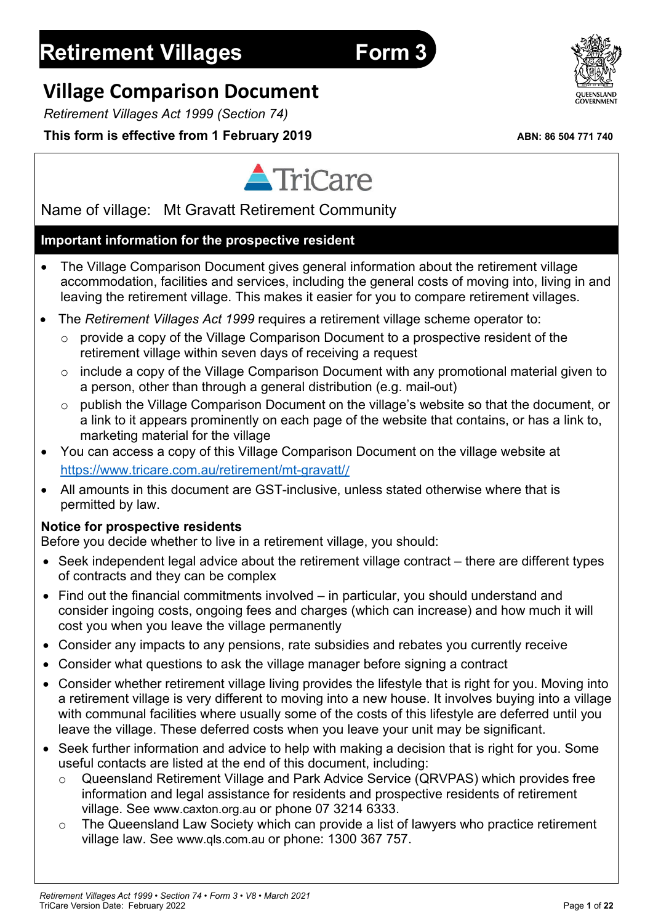o The Queensland Law Society which can provide a list of lawyers who practice retirement village law. See www.qls.com.au or phone: 1300 367 757.

# **Retirement Villages Form 3**

# **Village Comparison Document**

*Retirement Villages Act 1999 (Section 74)*

# This form is effective from 1 February 2019 **ABN: 86 504 771 740**

Name of village: Mt Gravatt Retirement Community

# **Important information for the prospective resident**

 The Village Comparison Document gives general information about the retirement village accommodation, facilities and services, including the general costs of moving into, living in and leaving the retirement village. This makes it easier for you to compare retirement villages.

TriCare

- The *Retirement Villages Act 1999* requires a retirement village scheme operator to:
	- $\circ$  provide a copy of the Village Comparison Document to a prospective resident of the retirement village within seven days of receiving a request
	- include a copy of the Village Comparison Document with any promotional material given to a person, other than through a general distribution (e.g. mail-out)
	- o publish the Village Comparison Document on the village's website so that the document, or a link to it appears prominently on each page of the website that contains, or has a link to, marketing material for the village
- You can access a copy of this Village Comparison Document on the village website at https://www.tricare.com.au/retirement/mt-gravatt//
- All amounts in this document are GST-inclusive, unless stated otherwise where that is permitted by law.

# **Notice for prospective residents**

Before you decide whether to live in a retirement village, you should:

- Seek independent legal advice about the retirement village contract there are different types of contracts and they can be complex
- Find out the financial commitments involved in particular, you should understand and consider ingoing costs, ongoing fees and charges (which can increase) and how much it will cost you when you leave the village permanently
- Consider any impacts to any pensions, rate subsidies and rebates you currently receive
- Consider what questions to ask the village manager before signing a contract
- Consider whether retirement village living provides the lifestyle that is right for you. Moving into a retirement village is very different to moving into a new house. It involves buying into a village with communal facilities where usually some of the costs of this lifestyle are deferred until you leave the village. These deferred costs when you leave your unit may be significant.
- Seek further information and advice to help with making a decision that is right for you. Some useful contacts are listed at the end of this document, including:
	- o Queensland Retirement Village and Park Advice Service (QRVPAS) which provides free information and legal assistance for residents and prospective residents of retirement village. See www.caxton.org.au or phone 07 3214 6333.
	-

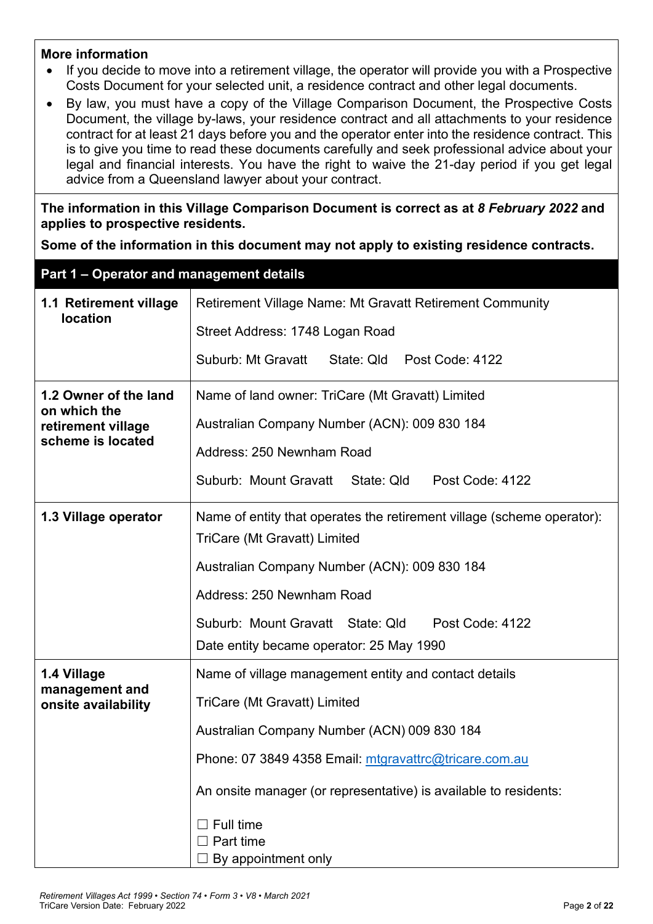#### **More information**

- If you decide to move into a retirement village, the operator will provide you with a Prospective Costs Document for your selected unit, a residence contract and other legal documents.
- By law, you must have a copy of the Village Comparison Document, the Prospective Costs Document, the village by-laws, your residence contract and all attachments to your residence contract for at least 21 days before you and the operator enter into the residence contract. This is to give you time to read these documents carefully and seek professional advice about your legal and financial interests. You have the right to waive the 21-day period if you get legal advice from a Queensland lawyer about your contract.

**The information in this Village Comparison Document is correct as at** *8 February 2022* **and applies to prospective residents.**

**Some of the information in this document may not apply to existing residence contracts.**

| Part 1 - Operator and management details |                                                                        |  |  |  |  |
|------------------------------------------|------------------------------------------------------------------------|--|--|--|--|
| 1.1 Retirement village                   | <b>Retirement Village Name: Mt Gravatt Retirement Community</b>        |  |  |  |  |
| <b>location</b>                          | Street Address: 1748 Logan Road                                        |  |  |  |  |
|                                          | Suburb: Mt Gravatt<br>State: Qld Post Code: 4122                       |  |  |  |  |
| 1.2 Owner of the land                    | Name of land owner: TriCare (Mt Gravatt) Limited                       |  |  |  |  |
| on which the<br>retirement village       | Australian Company Number (ACN): 009 830 184                           |  |  |  |  |
| scheme is located                        | Address: 250 Newnham Road                                              |  |  |  |  |
|                                          | Suburb: Mount Gravatt<br>State: Qld<br>Post Code: 4122                 |  |  |  |  |
| 1.3 Village operator                     | Name of entity that operates the retirement village (scheme operator): |  |  |  |  |
|                                          | TriCare (Mt Gravatt) Limited                                           |  |  |  |  |
|                                          | Australian Company Number (ACN): 009 830 184                           |  |  |  |  |
|                                          | Address: 250 Newnham Road                                              |  |  |  |  |
|                                          | Suburb: Mount Gravatt State: Qld<br>Post Code: 4122                    |  |  |  |  |
|                                          | Date entity became operator: 25 May 1990                               |  |  |  |  |
| 1.4 Village                              | Name of village management entity and contact details                  |  |  |  |  |
| management and<br>onsite availability    | TriCare (Mt Gravatt) Limited                                           |  |  |  |  |
|                                          | Australian Company Number (ACN) 009 830 184                            |  |  |  |  |
|                                          | Phone: 07 3849 4358 Email: mtgravattrc@tricare.com.au                  |  |  |  |  |
|                                          | An onsite manager (or representative) is available to residents:       |  |  |  |  |
|                                          | Full time                                                              |  |  |  |  |
|                                          | Part time                                                              |  |  |  |  |
|                                          | By appointment only                                                    |  |  |  |  |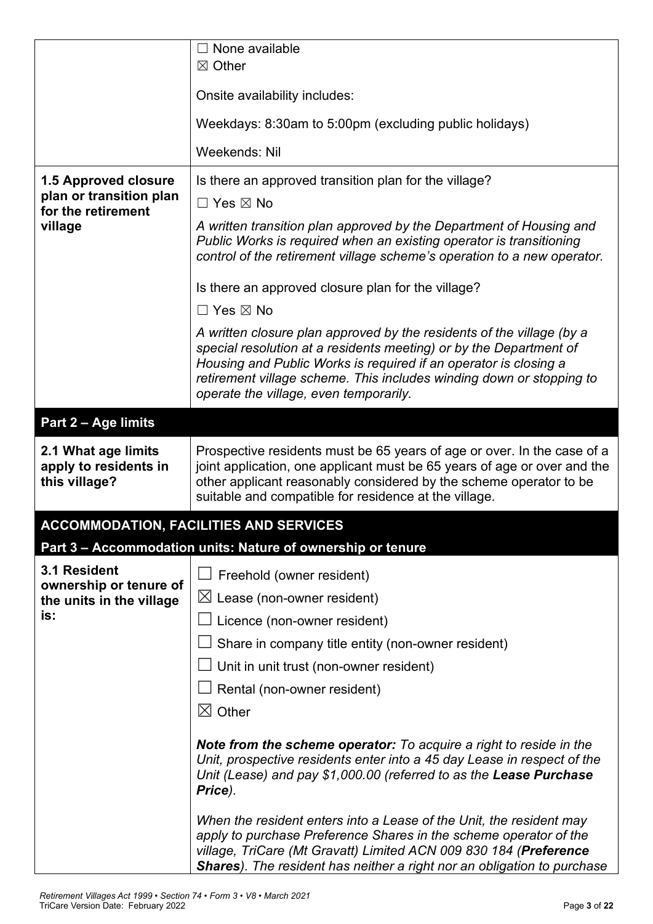|                                                               | None available                                                                                                                                                                                                                                                                                                                    |  |  |  |
|---------------------------------------------------------------|-----------------------------------------------------------------------------------------------------------------------------------------------------------------------------------------------------------------------------------------------------------------------------------------------------------------------------------|--|--|--|
|                                                               | $\boxtimes$ Other                                                                                                                                                                                                                                                                                                                 |  |  |  |
|                                                               | Onsite availability includes:                                                                                                                                                                                                                                                                                                     |  |  |  |
|                                                               | Weekdays: 8:30am to 5:00pm (excluding public holidays)                                                                                                                                                                                                                                                                            |  |  |  |
|                                                               | Weekends: Nil                                                                                                                                                                                                                                                                                                                     |  |  |  |
| 1.5 Approved closure                                          | Is there an approved transition plan for the village?                                                                                                                                                                                                                                                                             |  |  |  |
| plan or transition plan<br>for the retirement                 | $\Box$ Yes $\boxtimes$ No                                                                                                                                                                                                                                                                                                         |  |  |  |
| village                                                       | A written transition plan approved by the Department of Housing and<br>Public Works is required when an existing operator is transitioning<br>control of the retirement village scheme's operation to a new operator.                                                                                                             |  |  |  |
|                                                               | Is there an approved closure plan for the village?                                                                                                                                                                                                                                                                                |  |  |  |
|                                                               | $\Box$ Yes $\boxtimes$ No                                                                                                                                                                                                                                                                                                         |  |  |  |
|                                                               | A written closure plan approved by the residents of the village (by a<br>special resolution at a residents meeting) or by the Department of<br>Housing and Public Works is required if an operator is closing a<br>retirement village scheme. This includes winding down or stopping to<br>operate the village, even temporarily. |  |  |  |
| Part 2 - Age limits                                           |                                                                                                                                                                                                                                                                                                                                   |  |  |  |
| 2.1 What age limits<br>apply to residents in<br>this village? | Prospective residents must be 65 years of age or over. In the case of a<br>joint application, one applicant must be 65 years of age or over and the<br>other applicant reasonably considered by the scheme operator to be<br>suitable and compatible for residence at the village.                                                |  |  |  |
|                                                               | <b>ACCOMMODATION, FACILITIES AND SERVICES</b>                                                                                                                                                                                                                                                                                     |  |  |  |
|                                                               | Part 3 - Accommodation units: Nature of ownership or tenure                                                                                                                                                                                                                                                                       |  |  |  |
| 3.1 Resident                                                  | Freehold (owner resident)                                                                                                                                                                                                                                                                                                         |  |  |  |
| ownership or tenure of<br>the units in the village            | $\boxtimes$ Lease (non-owner resident)                                                                                                                                                                                                                                                                                            |  |  |  |
| is:                                                           | Licence (non-owner resident)                                                                                                                                                                                                                                                                                                      |  |  |  |
|                                                               | Share in company title entity (non-owner resident)                                                                                                                                                                                                                                                                                |  |  |  |
|                                                               | Unit in unit trust (non-owner resident)                                                                                                                                                                                                                                                                                           |  |  |  |
|                                                               | Rental (non-owner resident)                                                                                                                                                                                                                                                                                                       |  |  |  |
|                                                               | $\boxtimes$ Other                                                                                                                                                                                                                                                                                                                 |  |  |  |
|                                                               | <b>Note from the scheme operator:</b> To acquire a right to reside in the<br>Unit, prospective residents enter into a 45 day Lease in respect of the<br>Unit (Lease) and pay \$1,000.00 (referred to as the Lease Purchase<br>Price).                                                                                             |  |  |  |
|                                                               | When the resident enters into a Lease of the Unit, the resident may<br>apply to purchase Preference Shares in the scheme operator of the<br>village, TriCare (Mt Gravatt) Limited ACN 009 830 184 (Preference<br><b>Shares</b> ). The resident has neither a right nor an obligation to purchase                                  |  |  |  |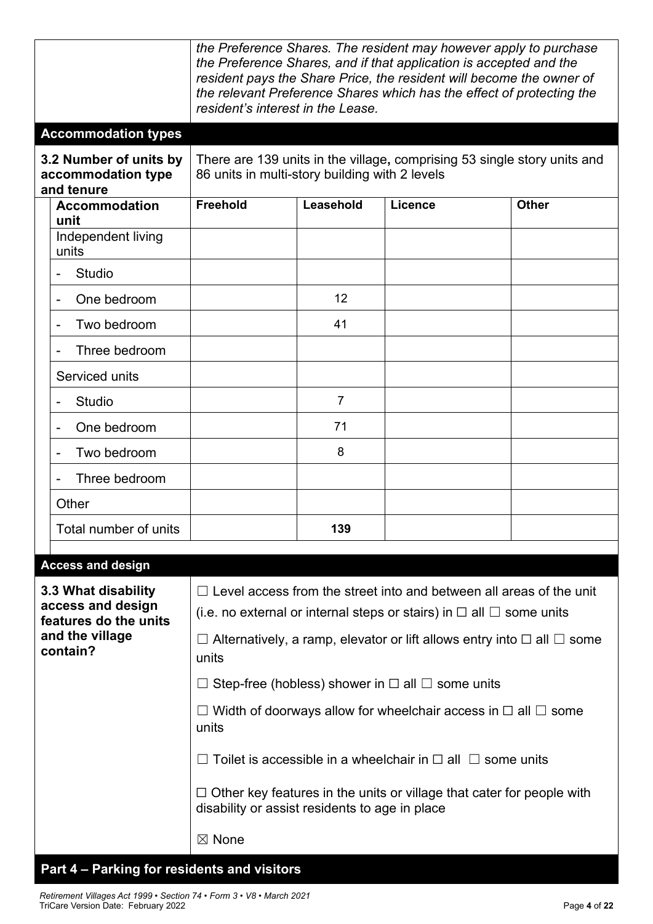|                                                                                         |                                                                   | the Preference Shares. The resident may however apply to purchase<br>the Preference Shares, and if that application is accepted and the<br>resident pays the Share Price, the resident will become the owner of<br>the relevant Preference Shares which has the effect of protecting the<br>resident's interest in the Lease. |                |                                                            |              |  |
|-----------------------------------------------------------------------------------------|-------------------------------------------------------------------|-------------------------------------------------------------------------------------------------------------------------------------------------------------------------------------------------------------------------------------------------------------------------------------------------------------------------------|----------------|------------------------------------------------------------|--------------|--|
|                                                                                         | <b>Accommodation types</b>                                        |                                                                                                                                                                                                                                                                                                                               |                |                                                            |              |  |
|                                                                                         | 3.2 Number of units by<br>accommodation type<br>and tenure        | There are 139 units in the village, comprising 53 single story units and<br>86 units in multi-story building with 2 levels                                                                                                                                                                                                    |                |                                                            |              |  |
|                                                                                         | <b>Accommodation</b>                                              | <b>Freehold</b>                                                                                                                                                                                                                                                                                                               | Leasehold      | <b>Licence</b>                                             | <b>Other</b> |  |
|                                                                                         | unit<br>Independent living<br>units                               |                                                                                                                                                                                                                                                                                                                               |                |                                                            |              |  |
|                                                                                         | <b>Studio</b>                                                     |                                                                                                                                                                                                                                                                                                                               |                |                                                            |              |  |
|                                                                                         | One bedroom                                                       |                                                                                                                                                                                                                                                                                                                               | 12             |                                                            |              |  |
|                                                                                         | Two bedroom                                                       |                                                                                                                                                                                                                                                                                                                               | 41             |                                                            |              |  |
|                                                                                         | Three bedroom                                                     |                                                                                                                                                                                                                                                                                                                               |                |                                                            |              |  |
|                                                                                         | Serviced units                                                    |                                                                                                                                                                                                                                                                                                                               |                |                                                            |              |  |
|                                                                                         | <b>Studio</b>                                                     |                                                                                                                                                                                                                                                                                                                               | $\overline{7}$ |                                                            |              |  |
|                                                                                         | One bedroom                                                       |                                                                                                                                                                                                                                                                                                                               | 71             |                                                            |              |  |
|                                                                                         | Two bedroom                                                       |                                                                                                                                                                                                                                                                                                                               | 8              |                                                            |              |  |
|                                                                                         | Three bedroom                                                     |                                                                                                                                                                                                                                                                                                                               |                |                                                            |              |  |
|                                                                                         | Other                                                             |                                                                                                                                                                                                                                                                                                                               |                |                                                            |              |  |
|                                                                                         | Total number of units                                             |                                                                                                                                                                                                                                                                                                                               | 139            |                                                            |              |  |
|                                                                                         |                                                                   |                                                                                                                                                                                                                                                                                                                               |                |                                                            |              |  |
|                                                                                         | <b>Access and design</b>                                          |                                                                                                                                                                                                                                                                                                                               |                |                                                            |              |  |
|                                                                                         | 3.3 What disability<br>access and design<br>features do the units | $\Box$ Level access from the street into and between all areas of the unit<br>(i.e. no external or internal steps or stairs) in $\Box$ all $\Box$ some units                                                                                                                                                                  |                |                                                            |              |  |
|                                                                                         | and the village<br>contain?                                       | Alternatively, a ramp, elevator or lift allows entry into $\Box$ all $\Box$ some<br>units                                                                                                                                                                                                                                     |                |                                                            |              |  |
|                                                                                         |                                                                   |                                                                                                                                                                                                                                                                                                                               |                | Step-free (hobless) shower in $\Box$ all $\Box$ some units |              |  |
| $\Box$ Width of doorways allow for wheelchair access in $\Box$ all $\Box$ some<br>units |                                                                   |                                                                                                                                                                                                                                                                                                                               |                |                                                            |              |  |
|                                                                                         |                                                                   | Toilet is accessible in a wheelchair in $\Box$ all $\Box$ some units                                                                                                                                                                                                                                                          |                |                                                            |              |  |
|                                                                                         |                                                                   | $\Box$ Other key features in the units or village that cater for people with<br>disability or assist residents to age in place                                                                                                                                                                                                |                |                                                            |              |  |
|                                                                                         |                                                                   | $\boxtimes$ None                                                                                                                                                                                                                                                                                                              |                |                                                            |              |  |
|                                                                                         | Part 4 - Parking for residents and visitors                       |                                                                                                                                                                                                                                                                                                                               |                |                                                            |              |  |

#### *Retirement Villages Act 1999* • *Section 74* • *Form 3* • *V8* • *March 2021* TriCare Version Date: February 2022 Page **4** of **22**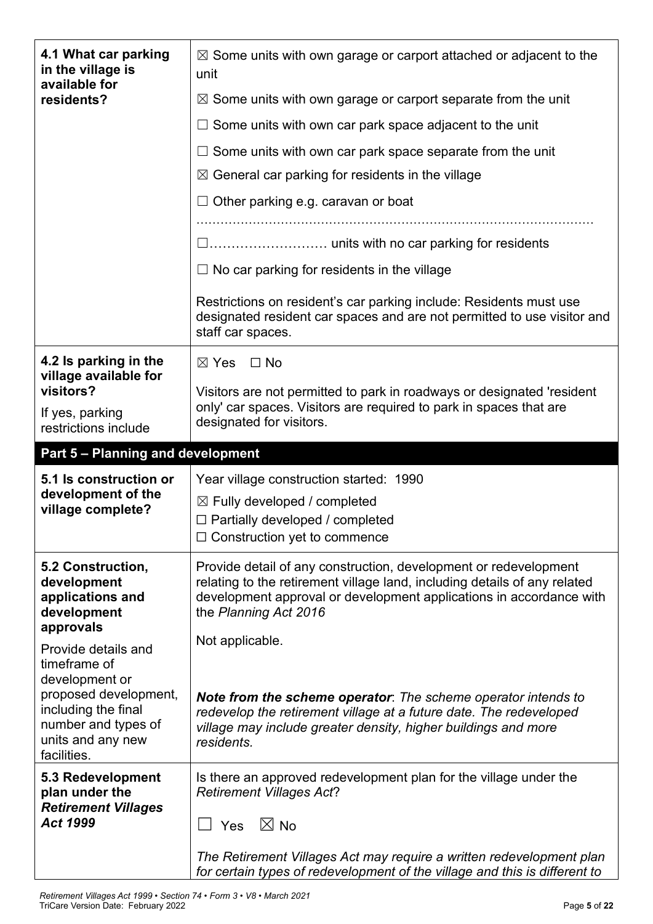| 4.1 What car parking<br>in the village is<br>available for | $\boxtimes$ Some units with own garage or carport attached or adjacent to the<br>unit                                                                              |  |  |  |
|------------------------------------------------------------|--------------------------------------------------------------------------------------------------------------------------------------------------------------------|--|--|--|
| residents?                                                 | $\boxtimes$ Some units with own garage or carport separate from the unit                                                                                           |  |  |  |
|                                                            | Some units with own car park space adjacent to the unit                                                                                                            |  |  |  |
|                                                            | $\Box$ Some units with own car park space separate from the unit                                                                                                   |  |  |  |
|                                                            | $\boxtimes$ General car parking for residents in the village                                                                                                       |  |  |  |
|                                                            | Other parking e.g. caravan or boat                                                                                                                                 |  |  |  |
|                                                            |                                                                                                                                                                    |  |  |  |
|                                                            |                                                                                                                                                                    |  |  |  |
|                                                            | $\Box$ No car parking for residents in the village                                                                                                                 |  |  |  |
|                                                            | Restrictions on resident's car parking include: Residents must use<br>designated resident car spaces and are not permitted to use visitor and<br>staff car spaces. |  |  |  |
| 4.2 Is parking in the                                      | $\boxtimes$ Yes<br>⊟ No                                                                                                                                            |  |  |  |
| village available for<br>visitors?                         | Visitors are not permitted to park in roadways or designated 'resident                                                                                             |  |  |  |
| If yes, parking<br>restrictions include                    | only' car spaces. Visitors are required to park in spaces that are<br>designated for visitors.                                                                     |  |  |  |
| Part 5 - Planning and development                          |                                                                                                                                                                    |  |  |  |
|                                                            |                                                                                                                                                                    |  |  |  |
| 5.1 Is construction or                                     | Year village construction started: 1990                                                                                                                            |  |  |  |
| development of the                                         | $\boxtimes$ Fully developed / completed                                                                                                                            |  |  |  |
| village complete?                                          | $\Box$ Partially developed / completed                                                                                                                             |  |  |  |
|                                                            | $\Box$ Construction yet to commence                                                                                                                                |  |  |  |
| 5.2 Construction,<br>development                           | Provide detail of any construction, development or redevelopment<br>relating to the retirement village land, including details of any related                      |  |  |  |
| applications and                                           | development approval or development applications in accordance with                                                                                                |  |  |  |
| development<br>approvals                                   | the Planning Act 2016                                                                                                                                              |  |  |  |
| Provide details and                                        | Not applicable.                                                                                                                                                    |  |  |  |
| timeframe of<br>development or                             |                                                                                                                                                                    |  |  |  |
| proposed development,<br>including the final               | <b>Note from the scheme operator</b> : The scheme operator intends to                                                                                              |  |  |  |
| number and types of                                        | redevelop the retirement village at a future date. The redeveloped<br>village may include greater density, higher buildings and more                               |  |  |  |
| units and any new<br>facilities.                           | residents.                                                                                                                                                         |  |  |  |
| 5.3 Redevelopment                                          | Is there an approved redevelopment plan for the village under the                                                                                                  |  |  |  |
| plan under the<br><b>Retirement Villages</b>               | <b>Retirement Villages Act?</b>                                                                                                                                    |  |  |  |
| Act 1999                                                   | $\boxtimes$ No<br>Yes                                                                                                                                              |  |  |  |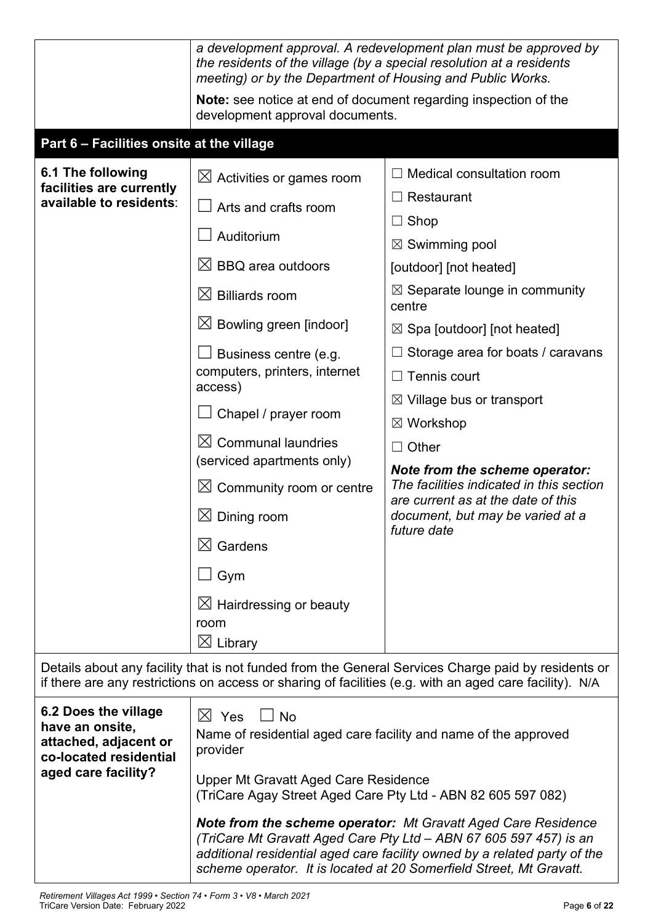|                                                                                                                                                                                                                | a development approval. A redevelopment plan must be approved by<br>the residents of the village (by a special resolution at a residents<br>meeting) or by the Department of Housing and Public Works.                                                                                                                                                                                                                                               |                                                                                                                                                                                                                                                                                                                                                                                                                                                                                                                                  |  |  |  |  |
|----------------------------------------------------------------------------------------------------------------------------------------------------------------------------------------------------------------|------------------------------------------------------------------------------------------------------------------------------------------------------------------------------------------------------------------------------------------------------------------------------------------------------------------------------------------------------------------------------------------------------------------------------------------------------|----------------------------------------------------------------------------------------------------------------------------------------------------------------------------------------------------------------------------------------------------------------------------------------------------------------------------------------------------------------------------------------------------------------------------------------------------------------------------------------------------------------------------------|--|--|--|--|
|                                                                                                                                                                                                                | Note: see notice at end of document regarding inspection of the<br>development approval documents.                                                                                                                                                                                                                                                                                                                                                   |                                                                                                                                                                                                                                                                                                                                                                                                                                                                                                                                  |  |  |  |  |
| Part 6 - Facilities onsite at the village                                                                                                                                                                      |                                                                                                                                                                                                                                                                                                                                                                                                                                                      |                                                                                                                                                                                                                                                                                                                                                                                                                                                                                                                                  |  |  |  |  |
| 6.1 The following<br>facilities are currently<br>available to residents:                                                                                                                                       | $\boxtimes$ Activities or games room<br>Arts and crafts room<br>Auditorium<br>$\boxtimes$ BBQ area outdoors<br>$\boxtimes$ Billiards room<br>$\boxtimes$ Bowling green [indoor]<br>Business centre (e.g.<br>computers, printers, internet<br>access)<br>Chapel / prayer room<br>$\boxtimes$ Communal laundries<br>(serviced apartments only)<br>$\boxtimes$ Community room or centre<br>$\boxtimes$ Dining room<br>$\boxtimes$ Gardens<br>$\Box$ Gym | $\Box$ Medical consultation room<br>Restaurant<br>$\Box$ Shop<br>$\boxtimes$ Swimming pool<br>[outdoor] [not heated]<br>$\boxtimes$ Separate lounge in community<br>centre<br>$\boxtimes$ Spa [outdoor] [not heated]<br>Storage area for boats / caravans<br>$\Box$ Tennis court<br>$\boxtimes$ Village bus or transport<br>$\boxtimes$ Workshop<br>Other<br>Note from the scheme operator:<br>The facilities indicated in this section<br>are current as at the date of this<br>document, but may be varied at a<br>future date |  |  |  |  |
|                                                                                                                                                                                                                | $\boxtimes$ Hairdressing or beauty<br>room<br>$\boxtimes$ Library                                                                                                                                                                                                                                                                                                                                                                                    |                                                                                                                                                                                                                                                                                                                                                                                                                                                                                                                                  |  |  |  |  |
| Details about any facility that is not funded from the General Services Charge paid by residents or<br>if there are any restrictions on access or sharing of facilities (e.g. with an aged care facility). N/A |                                                                                                                                                                                                                                                                                                                                                                                                                                                      |                                                                                                                                                                                                                                                                                                                                                                                                                                                                                                                                  |  |  |  |  |
| 6.2 Does the village<br>have an onsite,<br>attached, adjacent or<br>co-located residential<br>aged care facility?                                                                                              | $\boxtimes$ Yes<br>$\Box$ No<br>Name of residential aged care facility and name of the approved<br>provider<br>Upper Mt Gravatt Aged Care Residence<br>(TriCare Agay Street Aged Care Pty Ltd - ABN 82 605 597 082)                                                                                                                                                                                                                                  |                                                                                                                                                                                                                                                                                                                                                                                                                                                                                                                                  |  |  |  |  |
|                                                                                                                                                                                                                | <b>Note from the scheme operator:</b> Mt Gravatt Aged Care Residence<br>(TriCare Mt Gravatt Aged Care Pty Ltd - ABN 67 605 597 457) is an<br>additional residential aged care facility owned by a related party of the<br>scheme operator. It is located at 20 Somerfield Street, Mt Gravatt.                                                                                                                                                        |                                                                                                                                                                                                                                                                                                                                                                                                                                                                                                                                  |  |  |  |  |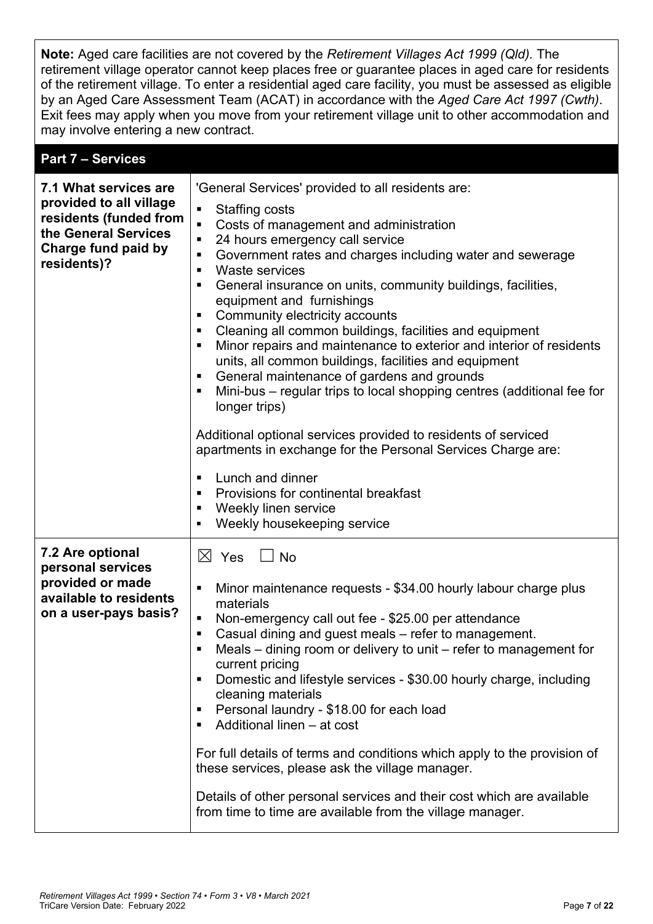**Note:** Aged care facilities are not covered by the *Retirement Villages Act 1999 (Qld).* The retirement village operator cannot keep places free or guarantee places in aged care for residents of the retirement village. To enter a residential aged care facility, you must be assessed as eligible by an Aged Care Assessment Team (ACAT) in accordance with the *Aged Care Act 1997 (Cwth)*. Exit fees may apply when you move from your retirement village unit to other accommodation and may involve entering a new contract.

#### **Part 7 – Services**

| 7.1 What services are<br>provided to all village<br>residents (funded from<br>the General Services<br>Charge fund paid by<br>residents)? | 'General Services' provided to all residents are:<br><b>Staffing costs</b><br>$\blacksquare$<br>Costs of management and administration<br>$\blacksquare$<br>24 hours emergency call service<br>$\blacksquare$<br>Government rates and charges including water and sewerage<br>٠<br><b>Waste services</b><br>$\blacksquare$<br>General insurance on units, community buildings, facilities,<br>п<br>equipment and furnishings<br>Community electricity accounts<br>п<br>Cleaning all common buildings, facilities and equipment<br>٠<br>Minor repairs and maintenance to exterior and interior of residents<br>п<br>units, all common buildings, facilities and equipment<br>General maintenance of gardens and grounds<br>п<br>Mini-bus – regular trips to local shopping centres (additional fee for<br>п<br>longer trips)<br>Additional optional services provided to residents of serviced<br>apartments in exchange for the Personal Services Charge are:<br>Lunch and dinner<br>٠<br>Provisions for continental breakfast<br>п<br>Weekly linen service<br>п<br>Weekly housekeeping service<br>٠ |
|------------------------------------------------------------------------------------------------------------------------------------------|------------------------------------------------------------------------------------------------------------------------------------------------------------------------------------------------------------------------------------------------------------------------------------------------------------------------------------------------------------------------------------------------------------------------------------------------------------------------------------------------------------------------------------------------------------------------------------------------------------------------------------------------------------------------------------------------------------------------------------------------------------------------------------------------------------------------------------------------------------------------------------------------------------------------------------------------------------------------------------------------------------------------------------------------------------------------------------------------------|
| 7.2 Are optional<br>personal services<br>provided or made<br>available to residents<br>on a user-pays basis?                             | $\boxtimes$ Yes<br>$\Box$ No<br>Minor maintenance requests - \$34.00 hourly labour charge plus<br>п<br>materials<br>Non-emergency call out fee - \$25.00 per attendance<br>п<br>Casual dining and guest meals – refer to management.<br>٠<br>Meals – dining room or delivery to unit – refer to management for<br>п<br>current pricing<br>Domestic and lifestyle services - \$30.00 hourly charge, including<br>п<br>cleaning materials<br>Personal laundry - \$18.00 for each load<br>Additional linen - at cost<br>п<br>For full details of terms and conditions which apply to the provision of<br>these services, please ask the village manager.<br>Details of other personal services and their cost which are available<br>from time to time are available from the village manager.                                                                                                                                                                                                                                                                                                          |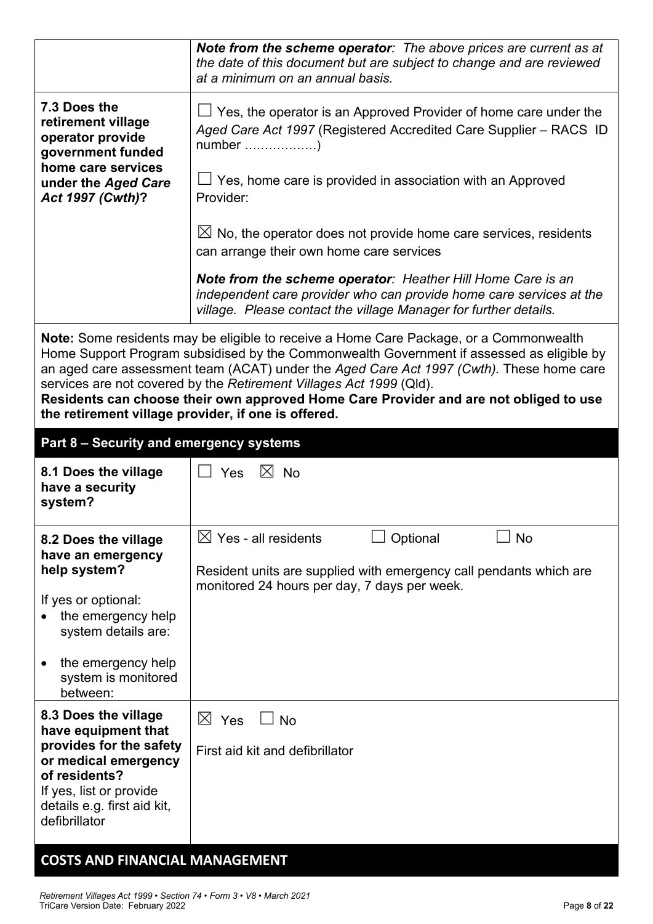|                                                                             | Note from the scheme operator: The above prices are current as at<br>the date of this document but are subject to change and are reviewed<br>at a minimum on an annual basis.                                                                                                                                                                                                                                                                   |  |  |  |
|-----------------------------------------------------------------------------|-------------------------------------------------------------------------------------------------------------------------------------------------------------------------------------------------------------------------------------------------------------------------------------------------------------------------------------------------------------------------------------------------------------------------------------------------|--|--|--|
| 7.3 Does the<br>retirement village<br>operator provide<br>government funded | $\Box$ Yes, the operator is an Approved Provider of home care under the<br>Aged Care Act 1997 (Registered Accredited Care Supplier - RACS ID                                                                                                                                                                                                                                                                                                    |  |  |  |
| home care services<br>under the Aged Care<br>Act 1997 (Cwth)?               | $\Box$ Yes, home care is provided in association with an Approved<br>Provider:                                                                                                                                                                                                                                                                                                                                                                  |  |  |  |
|                                                                             | $\boxtimes$ No, the operator does not provide home care services, residents<br>can arrange their own home care services                                                                                                                                                                                                                                                                                                                         |  |  |  |
|                                                                             | Note from the scheme operator: Heather Hill Home Care is an<br>independent care provider who can provide home care services at the<br>village. Please contact the village Manager for further details.                                                                                                                                                                                                                                          |  |  |  |
| the retirement village provider, if one is offered.                         | Note: Some residents may be eligible to receive a Home Care Package, or a Commonwealth<br>Home Support Program subsidised by the Commonwealth Government if assessed as eligible by<br>an aged care assessment team (ACAT) under the Aged Care Act 1997 (Cwth). These home care<br>services are not covered by the Retirement Villages Act 1999 (Qld).<br>Residents can choose their own approved Home Care Provider and are not obliged to use |  |  |  |
| Part 8 - Security and emergency systems                                     |                                                                                                                                                                                                                                                                                                                                                                                                                                                 |  |  |  |
| 8.1 Does the village<br>have a security<br>system?                          | $\boxtimes$ No<br>Yes                                                                                                                                                                                                                                                                                                                                                                                                                           |  |  |  |
| 8.2 Does the village<br>have an emergency                                   | <b>No</b><br>$\boxtimes$ Yes - all residents<br>Optional                                                                                                                                                                                                                                                                                                                                                                                        |  |  |  |
| help system?                                                                | Resident units are supplied with emergency call pendants which are                                                                                                                                                                                                                                                                                                                                                                              |  |  |  |
|                                                                             | monitored 24 hours per day, 7 days per week.                                                                                                                                                                                                                                                                                                                                                                                                    |  |  |  |
| If yes or optional:<br>the emergency help<br>system details are:            |                                                                                                                                                                                                                                                                                                                                                                                                                                                 |  |  |  |
| the emergency help<br>system is monitored<br>between:                       |                                                                                                                                                                                                                                                                                                                                                                                                                                                 |  |  |  |
| 8.3 Does the village                                                        | $\bowtie$<br>Yes<br><b>No</b>                                                                                                                                                                                                                                                                                                                                                                                                                   |  |  |  |
| have equipment that<br>provides for the safety                              | First aid kit and defibrillator                                                                                                                                                                                                                                                                                                                                                                                                                 |  |  |  |
| or medical emergency<br>of residents?                                       |                                                                                                                                                                                                                                                                                                                                                                                                                                                 |  |  |  |
| If yes, list or provide<br>details e.g. first aid kit,<br>defibrillator     |                                                                                                                                                                                                                                                                                                                                                                                                                                                 |  |  |  |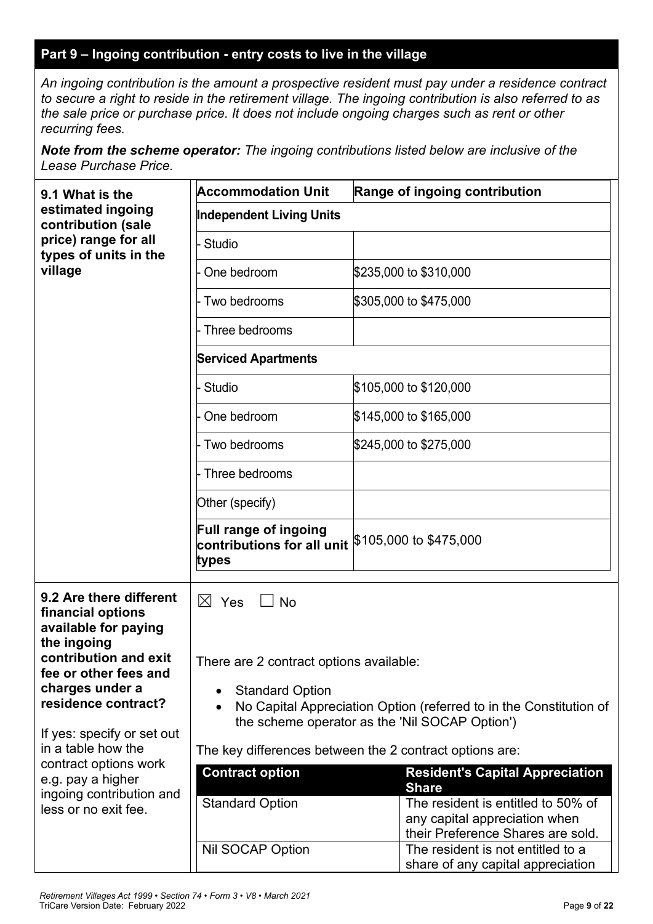#### **Part 9 – Ingoing contribution - entry costs to live in the village**

*An ingoing contribution is the amount a prospective resident must pay under a residence contract to secure a right to reside in the retirement village. The ingoing contribution is also referred to as the sale price or purchase price. It does not include ongoing charges such as rent or other recurring fees.*

*Note from the scheme operator: The ingoing contributions listed below are inclusive of the Lease Purchase Price.*

| 9.1 What is the                                                                                                                                    | <b>Accommodation Unit</b>                                                                                            | Range of ingoing contribution                                                                                            |  |  |
|----------------------------------------------------------------------------------------------------------------------------------------------------|----------------------------------------------------------------------------------------------------------------------|--------------------------------------------------------------------------------------------------------------------------|--|--|
| estimated ingoing<br>contribution (sale                                                                                                            | <b>Independent Living Units</b>                                                                                      |                                                                                                                          |  |  |
| price) range for all<br>types of units in the<br>village                                                                                           | Studio                                                                                                               |                                                                                                                          |  |  |
|                                                                                                                                                    | One bedroom                                                                                                          | \$235,000 to \$310,000                                                                                                   |  |  |
|                                                                                                                                                    | Two bedrooms                                                                                                         | \$305,000 to \$475,000                                                                                                   |  |  |
|                                                                                                                                                    | Three bedrooms                                                                                                       |                                                                                                                          |  |  |
|                                                                                                                                                    | <b>Serviced Apartments</b>                                                                                           |                                                                                                                          |  |  |
|                                                                                                                                                    | Studio                                                                                                               | \$105,000 to \$120,000                                                                                                   |  |  |
|                                                                                                                                                    | One bedroom                                                                                                          | \$145,000 to \$165,000                                                                                                   |  |  |
|                                                                                                                                                    | Two bedrooms                                                                                                         | \$245,000 to \$275,000                                                                                                   |  |  |
|                                                                                                                                                    | Three bedrooms                                                                                                       |                                                                                                                          |  |  |
|                                                                                                                                                    | Other (specify)                                                                                                      |                                                                                                                          |  |  |
|                                                                                                                                                    | Full range of ingoing<br>contributions for all unit $ 105,000\>$ to $ 475,000\>$<br>types                            |                                                                                                                          |  |  |
| 9.2 Are there different<br>financial options<br>available for paying<br>the ingoing                                                                | $\boxtimes$ Yes<br><b>No</b>                                                                                         |                                                                                                                          |  |  |
| contribution and exit<br>fee or other fees and                                                                                                     | There are 2 contract options available:                                                                              |                                                                                                                          |  |  |
| charges under a                                                                                                                                    | <b>Standard Option</b>                                                                                               |                                                                                                                          |  |  |
| residence contract?                                                                                                                                | No Capital Appreciation Option (referred to in the Constitution of<br>the scheme operator as the 'Nil SOCAP Option') |                                                                                                                          |  |  |
| If yes: specify or set out<br>in a table how the<br>contract options work<br>e.g. pay a higher<br>ingoing contribution and<br>less or no exit fee. | The key differences between the 2 contract options are:                                                              |                                                                                                                          |  |  |
|                                                                                                                                                    | <b>Contract option</b>                                                                                               | <b>Resident's Capital Appreciation</b>                                                                                   |  |  |
|                                                                                                                                                    | <b>Standard Option</b>                                                                                               | <b>Share</b><br>The resident is entitled to 50% of<br>any capital appreciation when<br>their Preference Shares are sold. |  |  |
|                                                                                                                                                    | Nil SOCAP Option                                                                                                     | The resident is not entitled to a<br>share of any capital appreciation                                                   |  |  |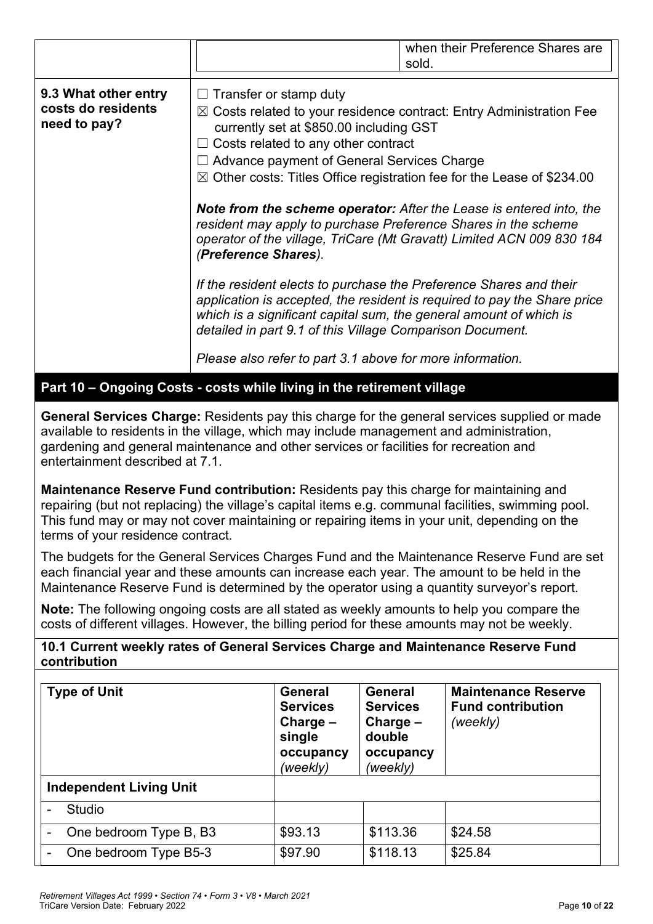|                                                            |                                                                                                                                                                                                                                                                                                                                                                                                                                                                                                                                                                                                                                                                                                                       | when their Preference Shares are<br>sold.                                                                                                                                                                                       |
|------------------------------------------------------------|-----------------------------------------------------------------------------------------------------------------------------------------------------------------------------------------------------------------------------------------------------------------------------------------------------------------------------------------------------------------------------------------------------------------------------------------------------------------------------------------------------------------------------------------------------------------------------------------------------------------------------------------------------------------------------------------------------------------------|---------------------------------------------------------------------------------------------------------------------------------------------------------------------------------------------------------------------------------|
| 9.3 What other entry<br>costs do residents<br>need to pay? | Transfer or stamp duty<br>$\Box$<br>$\boxtimes$ Costs related to your residence contract: Entry Administration Fee<br>currently set at \$850.00 including GST<br>$\Box$ Costs related to any other contract<br>$\Box$ Advance payment of General Services Charge<br>$\boxtimes$ Other costs: Titles Office registration fee for the Lease of \$234.00<br>resident may apply to purchase Preference Shares in the scheme<br>(Preference Shares).<br>If the resident elects to purchase the Preference Shares and their<br>which is a significant capital sum, the general amount of which is<br>detailed in part 9.1 of this Village Comparison Document.<br>Please also refer to part 3.1 above for more information. | <b>Note from the scheme operator:</b> After the Lease is entered into, the<br>operator of the village, TriCare (Mt Gravatt) Limited ACN 009 830 184<br>application is accepted, the resident is required to pay the Share price |

**Part 10 – Ongoing Costs - costs while living in the retirement village**

**General Services Charge:** Residents pay this charge for the general services supplied or made available to residents in the village, which may include management and administration, gardening and general maintenance and other services or facilities for recreation and entertainment described at 7.1.

**Maintenance Reserve Fund contribution:** Residents pay this charge for maintaining and repairing (but not replacing) the village's capital items e.g. communal facilities, swimming pool. This fund may or may not cover maintaining or repairing items in your unit, depending on the terms of your residence contract.

The budgets for the General Services Charges Fund and the Maintenance Reserve Fund are set each financial year and these amounts can increase each year. The amount to be held in the Maintenance Reserve Fund is determined by the operator using a quantity surveyor's report.

**Note:** The following ongoing costs are all stated as weekly amounts to help you compare the costs of different villages. However, the billing period for these amounts may not be weekly.

**10.1 Current weekly rates of General Services Charge and Maintenance Reserve Fund contribution**

| <b>Type of Unit</b>            | General<br><b>Services</b><br>Charge $-$<br>single<br>occupancy<br>(weekly) | <b>General</b><br><b>Services</b><br>Charge $-$<br>double<br>occupancy<br>(weekly) | <b>Maintenance Reserve</b><br><b>Fund contribution</b><br>(weekly) |
|--------------------------------|-----------------------------------------------------------------------------|------------------------------------------------------------------------------------|--------------------------------------------------------------------|
| <b>Independent Living Unit</b> |                                                                             |                                                                                    |                                                                    |
| Studio                         |                                                                             |                                                                                    |                                                                    |
| One bedroom Type B, B3         | \$93.13                                                                     | \$113.36                                                                           | \$24.58                                                            |
| One bedroom Type B5-3          | \$97.90                                                                     | \$118.13                                                                           | \$25.84                                                            |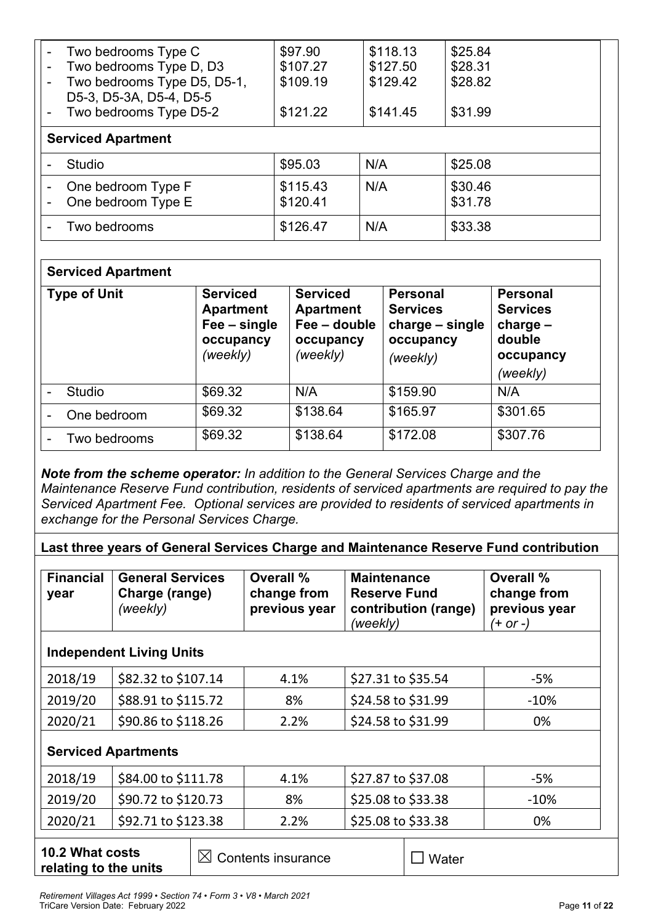| $\overline{\phantom{a}}$ | Two bedrooms Type C<br>Two bedrooms Type D, D3<br>Two bedrooms Type D5, D5-1,<br>D5-3, D5-3A, D5-4, D5-5<br>Two bedrooms Type D5-2 | \$97.90<br>\$107.27<br>\$109.19<br>\$121.22 | \$118.13<br>\$127.50<br>\$129.42<br>\$141.45 | \$25.84<br>\$28.31<br>\$28.82<br>\$31.99 |
|--------------------------|------------------------------------------------------------------------------------------------------------------------------------|---------------------------------------------|----------------------------------------------|------------------------------------------|
|                          | <b>Serviced Apartment</b>                                                                                                          |                                             |                                              |                                          |
|                          | Studio<br>One bedroom Type F<br>One bedroom Type E                                                                                 | \$95.03<br>\$115.43<br>\$120.41             | N/A<br>N/A                                   | \$25.08<br>\$30.46<br>\$31.78            |
|                          | Two bedrooms                                                                                                                       | \$126.47                                    | N/A                                          | \$33.38                                  |

# **Serviced Apartment**

| <b>Type of Unit</b> | <b>Serviced</b><br><b>Apartment</b><br>Fee – single<br>occupancy<br>(weekly) | <b>Serviced</b><br><b>Apartment</b><br>Fee - double<br>occupancy<br>(weekly) | <b>Personal</b><br><b>Services</b><br>charge – single<br>occupancy<br>(weekly) | <b>Personal</b><br><b>Services</b><br>charge $-$<br>double<br>occupancy<br>(weekly) |
|---------------------|------------------------------------------------------------------------------|------------------------------------------------------------------------------|--------------------------------------------------------------------------------|-------------------------------------------------------------------------------------|
| Studio              | \$69.32                                                                      | N/A                                                                          | \$159.90                                                                       | N/A                                                                                 |
| One bedroom         | \$69.32                                                                      | \$138.64                                                                     | \$165.97                                                                       | \$301.65                                                                            |
| Two bedrooms        | \$69.32                                                                      | \$138.64                                                                     | \$172.08                                                                       | \$307.76                                                                            |

*Note from the scheme operator: In addition to the General Services Charge and the Maintenance Reserve Fund contribution, residents of serviced apartments are required to pay the Serviced Apartment Fee. Optional services are provided to residents of serviced apartments in exchange for the Personal Services Charge.*

**Last three years of General Services Charge and Maintenance Reserve Fund contribution**

| <b>Financial</b><br>year | <b>General Services</b><br>Charge (range)<br>(weekly) | Overall %<br>change from<br>previous year | <b>Maintenance</b><br><b>Reserve Fund</b><br>contribution (range)<br>(weekly) | Overall %<br>change from<br>previous year<br>$(+ or -)$ |
|--------------------------|-------------------------------------------------------|-------------------------------------------|-------------------------------------------------------------------------------|---------------------------------------------------------|
|                          | <b>Independent Living Units</b>                       |                                           |                                                                               |                                                         |
| 2018/19                  | \$82.32 to \$107.14                                   | 4.1%                                      | \$27.31 to \$35.54                                                            | -5%                                                     |
| $2010120$                | $600.01 + 6115.71$                                    | 0 <sup>0</sup>                            | 621.591.621.00                                                                | 1001                                                    |

| 2019/20 | S88.91 to \$115.72  | 8%   | 524.58 to \$31.99                | $-10%$ |
|---------|---------------------|------|----------------------------------|--------|
| 2020/21 | \$90.86 to \$118.26 | 2.2% | $\frac{1}{2}$ \$24.58 to \$31.99 | 0%     |

# **Serviced Apartments**

| 2018/19  | \$84.00 to \$111.78 | 4.1% | $$27.87$ to \$37.08 | -5%    |
|----------|---------------------|------|---------------------|--------|
| 12019/20 | \$90.72 to \$120.73 | 8%   | \$25.08 to \$33.38  | $-10%$ |
| 2020/21  | \$92.71 to \$123.38 | 2.2% | \$25.08 to \$33.38  | 0%     |

**10.2 What costs relating to the units** 

 $\boxtimes$  Contents insurance  $\Box$  Water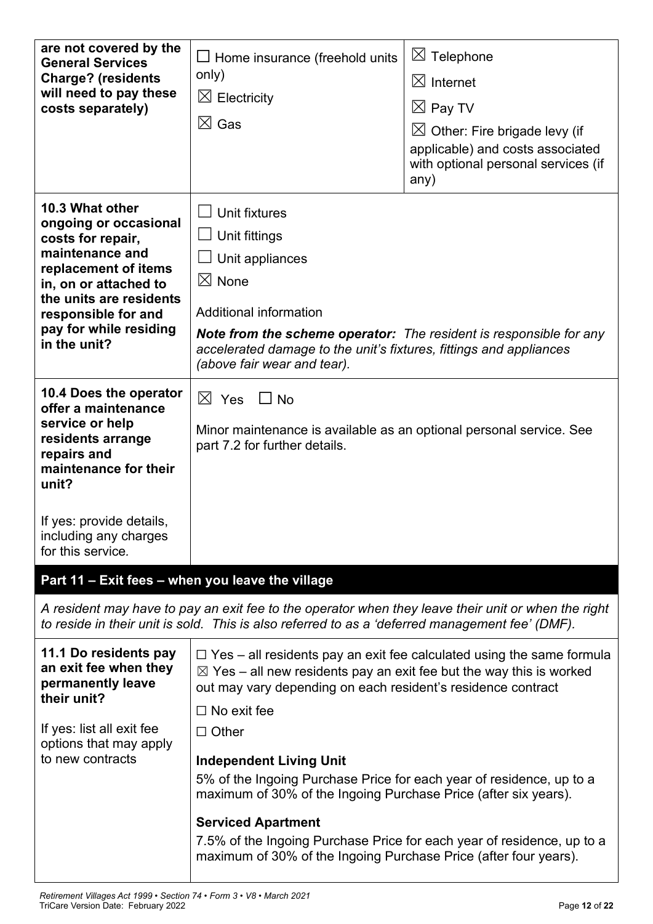| are not covered by the<br><b>General Services</b><br><b>Charge? (residents</b><br>will need to pay these<br>costs separately)                                                                                                 | $\Box$ Home insurance (freehold units<br>only)<br>$\boxtimes$ Electricity<br>$\boxtimes$ Gas                                                                                                                                                                                      | Telephone<br>$\boxtimes$<br>$\boxtimes$ Internet<br>$\boxtimes$ Pay TV<br>$\boxtimes$ Other: Fire brigade levy (if<br>applicable) and costs associated<br>with optional personal services (if<br>any) |  |
|-------------------------------------------------------------------------------------------------------------------------------------------------------------------------------------------------------------------------------|-----------------------------------------------------------------------------------------------------------------------------------------------------------------------------------------------------------------------------------------------------------------------------------|-------------------------------------------------------------------------------------------------------------------------------------------------------------------------------------------------------|--|
| 10.3 What other<br>ongoing or occasional<br>costs for repair,<br>maintenance and<br>replacement of items<br>in, on or attached to<br>the units are residents<br>responsible for and<br>pay for while residing<br>in the unit? | Unit fixtures<br>Unit fittings<br>Unit appliances<br>$\boxtimes$ None<br>Additional information<br><b>Note from the scheme operator:</b> The resident is responsible for any<br>accelerated damage to the unit's fixtures, fittings and appliances<br>(above fair wear and tear). |                                                                                                                                                                                                       |  |
| 10.4 Does the operator<br>offer a maintenance<br>service or help<br>residents arrange<br>repairs and<br>maintenance for their<br>unit?<br>If yes: provide details,                                                            | $\boxtimes$ Yes<br>$\Box$ No<br>Minor maintenance is available as an optional personal service. See<br>part 7.2 for further details.                                                                                                                                              |                                                                                                                                                                                                       |  |
| including any charges<br>for this service.                                                                                                                                                                                    |                                                                                                                                                                                                                                                                                   |                                                                                                                                                                                                       |  |
| Part 11 - Exit fees - when you leave the village                                                                                                                                                                              |                                                                                                                                                                                                                                                                                   |                                                                                                                                                                                                       |  |
|                                                                                                                                                                                                                               | A resident may have to pay an exit fee to the operator when they leave their unit or when the right<br>to reside in their unit is sold. This is also referred to as a 'deferred management fee' (DMF).                                                                            |                                                                                                                                                                                                       |  |
| 11.1 Do residents pay<br>an exit fee when they<br>permanently leave<br>their unit?                                                                                                                                            | $\boxtimes$ Yes – all new residents pay an exit fee but the way this is worked<br>out may vary depending on each resident's residence contract<br>$\Box$ No exit fee                                                                                                              | $\Box$ Yes – all residents pay an exit fee calculated using the same formula                                                                                                                          |  |
| If yes: list all exit fee<br>options that may apply                                                                                                                                                                           | $\Box$ Other                                                                                                                                                                                                                                                                      |                                                                                                                                                                                                       |  |
| to new contracts                                                                                                                                                                                                              | <b>Independent Living Unit</b>                                                                                                                                                                                                                                                    |                                                                                                                                                                                                       |  |
|                                                                                                                                                                                                                               | 5% of the Ingoing Purchase Price for each year of residence, up to a<br>maximum of 30% of the Ingoing Purchase Price (after six years).                                                                                                                                           |                                                                                                                                                                                                       |  |
|                                                                                                                                                                                                                               | <b>Serviced Apartment</b>                                                                                                                                                                                                                                                         |                                                                                                                                                                                                       |  |
|                                                                                                                                                                                                                               | 7.5% of the Ingoing Purchase Price for each year of residence, up to a<br>maximum of 30% of the Ingoing Purchase Price (after four years).                                                                                                                                        |                                                                                                                                                                                                       |  |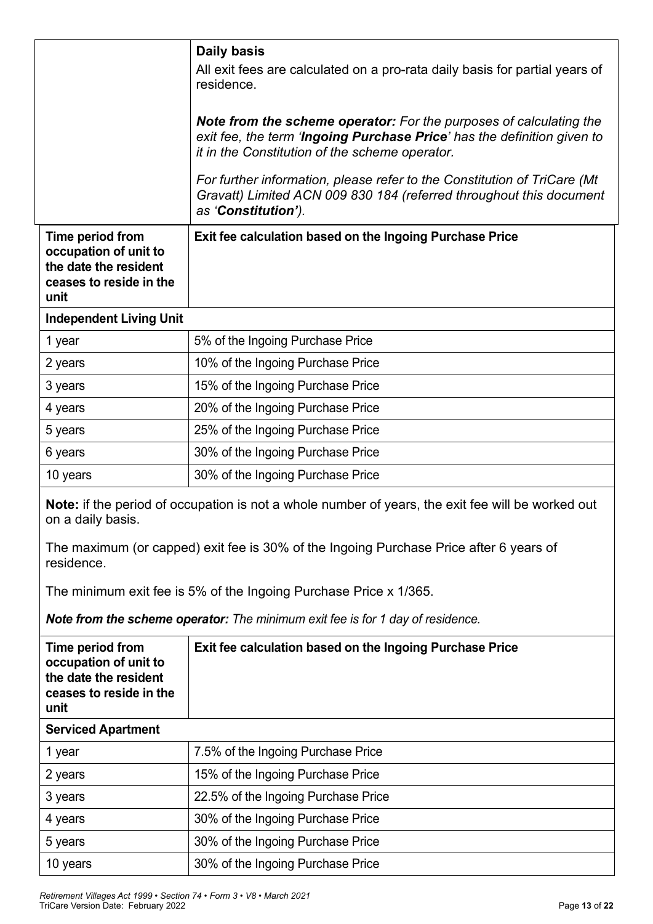|                                                                                                       | <b>Daily basis</b>                                                                                                                                                                                                                                                                                                                                                        |
|-------------------------------------------------------------------------------------------------------|---------------------------------------------------------------------------------------------------------------------------------------------------------------------------------------------------------------------------------------------------------------------------------------------------------------------------------------------------------------------------|
|                                                                                                       | All exit fees are calculated on a pro-rata daily basis for partial years of<br>residence.                                                                                                                                                                                                                                                                                 |
|                                                                                                       | Note from the scheme operator: For the purposes of calculating the<br>exit fee, the term 'Ingoing Purchase Price' has the definition given to<br>it in the Constitution of the scheme operator.<br>For further information, please refer to the Constitution of TriCare (Mt<br>Gravatt) Limited ACN 009 830 184 (referred throughout this document<br>as 'Constitution'). |
| Time period from<br>occupation of unit to<br>the date the resident<br>ceases to reside in the<br>unit | Exit fee calculation based on the Ingoing Purchase Price                                                                                                                                                                                                                                                                                                                  |
| <b>Independent Living Unit</b>                                                                        |                                                                                                                                                                                                                                                                                                                                                                           |
| 1 year                                                                                                | 5% of the Ingoing Purchase Price                                                                                                                                                                                                                                                                                                                                          |
| 2 years                                                                                               | 10% of the Ingoing Purchase Price                                                                                                                                                                                                                                                                                                                                         |
| 3 years                                                                                               | 15% of the Ingoing Purchase Price                                                                                                                                                                                                                                                                                                                                         |
| 4 years                                                                                               | 20% of the Ingoing Purchase Price                                                                                                                                                                                                                                                                                                                                         |
| 5 years                                                                                               | 25% of the Ingoing Purchase Price                                                                                                                                                                                                                                                                                                                                         |
| 6 years                                                                                               | 30% of the Ingoing Purchase Price                                                                                                                                                                                                                                                                                                                                         |
| 10 years                                                                                              | 30% of the Ingoing Purchase Price                                                                                                                                                                                                                                                                                                                                         |
| on a daily basis.                                                                                     | <b>Note:</b> if the period of occupation is not a whole number of years, the exit fee will be worked out                                                                                                                                                                                                                                                                  |
| residence.                                                                                            | The maximum (or capped) exit fee is 30% of the Ingoing Purchase Price after 6 years of                                                                                                                                                                                                                                                                                    |
|                                                                                                       | The minimum exit fee is 5% of the Ingoing Purchase Price x 1/365.                                                                                                                                                                                                                                                                                                         |
|                                                                                                       | Note from the scheme operator: The minimum exit fee is for 1 day of residence.                                                                                                                                                                                                                                                                                            |
| Time period from<br>occupation of unit to<br>the date the resident<br>ceases to reside in the<br>unit | Exit fee calculation based on the Ingoing Purchase Price                                                                                                                                                                                                                                                                                                                  |
| <b>Serviced Apartment</b>                                                                             |                                                                                                                                                                                                                                                                                                                                                                           |
| 1 year                                                                                                | 7.5% of the Ingoing Purchase Price                                                                                                                                                                                                                                                                                                                                        |
| 2 years                                                                                               | 15% of the Ingoing Purchase Price                                                                                                                                                                                                                                                                                                                                         |
| 3 years                                                                                               | 22.5% of the Ingoing Purchase Price                                                                                                                                                                                                                                                                                                                                       |
| 4 years                                                                                               | 30% of the Ingoing Purchase Price                                                                                                                                                                                                                                                                                                                                         |
| 5 years                                                                                               | 30% of the Ingoing Purchase Price                                                                                                                                                                                                                                                                                                                                         |
| 10 years                                                                                              | 30% of the Ingoing Purchase Price                                                                                                                                                                                                                                                                                                                                         |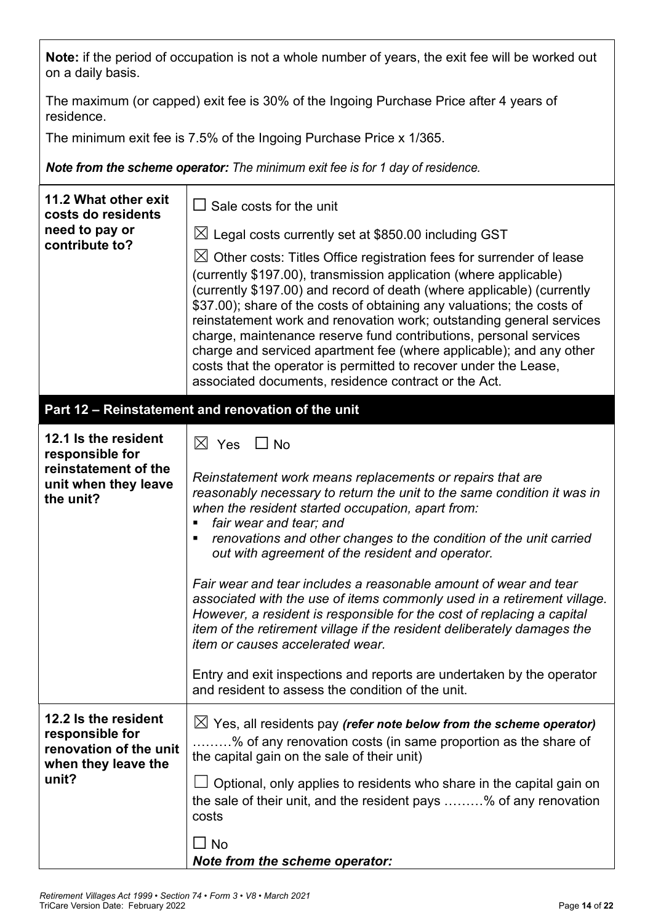**Note:** if the period of occupation is not a whole number of years, the exit fee will be worked out on a daily basis.

The maximum (or capped) exit fee is 30% of the Ingoing Purchase Price after 4 years of residence.

The minimum exit fee is 7.5% of the Ingoing Purchase Price x 1/365.

*Note from the scheme operator: The minimum exit fee is for 1 day of residence.*

| 11.2 What other exit<br>costs do residents                                                           | $\Box$ Sale costs for the unit                                                                                                                                                                                                                                                                                                                                                                                                                                                                                                                                                                                                                                                                                                                                                                                                                                   |  |  |
|------------------------------------------------------------------------------------------------------|------------------------------------------------------------------------------------------------------------------------------------------------------------------------------------------------------------------------------------------------------------------------------------------------------------------------------------------------------------------------------------------------------------------------------------------------------------------------------------------------------------------------------------------------------------------------------------------------------------------------------------------------------------------------------------------------------------------------------------------------------------------------------------------------------------------------------------------------------------------|--|--|
| need to pay or<br>contribute to?                                                                     | $\boxtimes$ Legal costs currently set at \$850.00 including GST<br>$\boxtimes$ Other costs: Titles Office registration fees for surrender of lease<br>(currently \$197.00), transmission application (where applicable)<br>(currently \$197.00) and record of death (where applicable) (currently<br>\$37.00); share of the costs of obtaining any valuations; the costs of<br>reinstatement work and renovation work; outstanding general services<br>charge, maintenance reserve fund contributions, personal services<br>charge and serviced apartment fee (where applicable); and any other<br>costs that the operator is permitted to recover under the Lease,<br>associated documents, residence contract or the Act.                                                                                                                                      |  |  |
|                                                                                                      | Part 12 - Reinstatement and renovation of the unit                                                                                                                                                                                                                                                                                                                                                                                                                                                                                                                                                                                                                                                                                                                                                                                                               |  |  |
| 12.1 Is the resident<br>responsible for<br>reinstatement of the<br>unit when they leave<br>the unit? | $\boxtimes$ Yes<br>$\Box$ No<br>Reinstatement work means replacements or repairs that are<br>reasonably necessary to return the unit to the same condition it was in<br>when the resident started occupation, apart from:<br>fair wear and tear; and<br>п<br>renovations and other changes to the condition of the unit carried<br>out with agreement of the resident and operator.<br>Fair wear and tear includes a reasonable amount of wear and tear<br>associated with the use of items commonly used in a retirement village.<br>However, a resident is responsible for the cost of replacing a capital<br>item of the retirement village if the resident deliberately damages the<br><i>item or causes accelerated wear.</i><br>Entry and exit inspections and reports are undertaken by the operator<br>and resident to assess the condition of the unit. |  |  |
| 12.2 Is the resident<br>responsible for<br>renovation of the unit<br>when they leave the<br>unit?    | $\boxtimes$ Yes, all residents pay (refer note below from the scheme operator)<br>% of any renovation costs (in same proportion as the share of<br>the capital gain on the sale of their unit)<br>Optional, only applies to residents who share in the capital gain on<br>the sale of their unit, and the resident pays % of any renovation<br>costs<br>$\Box$ No<br>Note from the scheme operator:                                                                                                                                                                                                                                                                                                                                                                                                                                                              |  |  |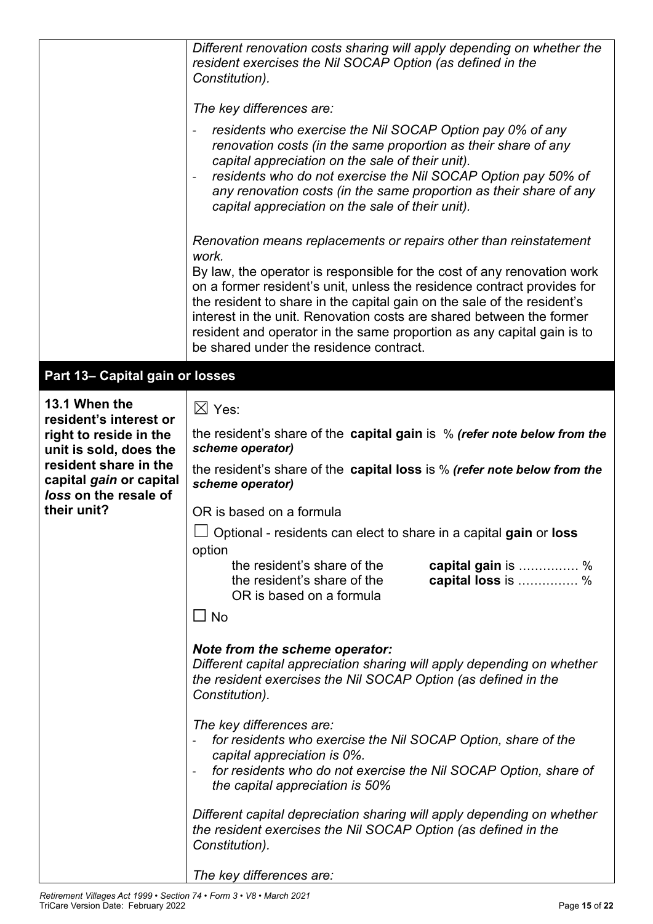|                                                                                                                                                 | Different renovation costs sharing will apply depending on whether the<br>resident exercises the Nil SOCAP Option (as defined in the<br>Constitution).                                                                                                                                                                                                                                                                                                                                                   |
|-------------------------------------------------------------------------------------------------------------------------------------------------|----------------------------------------------------------------------------------------------------------------------------------------------------------------------------------------------------------------------------------------------------------------------------------------------------------------------------------------------------------------------------------------------------------------------------------------------------------------------------------------------------------|
|                                                                                                                                                 | The key differences are:                                                                                                                                                                                                                                                                                                                                                                                                                                                                                 |
|                                                                                                                                                 | residents who exercise the Nil SOCAP Option pay 0% of any<br>renovation costs (in the same proportion as their share of any<br>capital appreciation on the sale of their unit).<br>residents who do not exercise the Nil SOCAP Option pay 50% of<br>any renovation costs (in the same proportion as their share of any<br>capital appreciation on the sale of their unit).                                                                                                                               |
|                                                                                                                                                 | Renovation means replacements or repairs other than reinstatement<br>work.<br>By law, the operator is responsible for the cost of any renovation work<br>on a former resident's unit, unless the residence contract provides for<br>the resident to share in the capital gain on the sale of the resident's<br>interest in the unit. Renovation costs are shared between the former<br>resident and operator in the same proportion as any capital gain is to<br>be shared under the residence contract. |
| Part 13- Capital gain or losses                                                                                                                 |                                                                                                                                                                                                                                                                                                                                                                                                                                                                                                          |
| 13.1 When the<br>resident's interest or<br>right to reside in the<br>unit is sold, does the<br>resident share in the<br>capital gain or capital | $\boxtimes$ Yes:<br>the resident's share of the capital gain is $%$ (refer note below from the<br>scheme operator)<br>the resident's share of the capital loss is % (refer note below from the<br>scheme operator)                                                                                                                                                                                                                                                                                       |
| loss on the resale of                                                                                                                           |                                                                                                                                                                                                                                                                                                                                                                                                                                                                                                          |
| their unit?                                                                                                                                     | OR is based on a formula                                                                                                                                                                                                                                                                                                                                                                                                                                                                                 |
|                                                                                                                                                 | $\Box$ Optional - residents can elect to share in a capital gain or loss                                                                                                                                                                                                                                                                                                                                                                                                                                 |
|                                                                                                                                                 | option<br>the resident's share of the<br>capital gain is %<br>capital loss is  %<br>the resident's share of the<br>OR is based on a formula<br>$\square$ No                                                                                                                                                                                                                                                                                                                                              |
|                                                                                                                                                 | Note from the scheme operator:<br>Different capital appreciation sharing will apply depending on whether<br>the resident exercises the Nil SOCAP Option (as defined in the<br>Constitution).                                                                                                                                                                                                                                                                                                             |
|                                                                                                                                                 | The key differences are:<br>for residents who exercise the Nil SOCAP Option, share of the<br>capital appreciation is 0%.<br>for residents who do not exercise the Nil SOCAP Option, share of<br>the capital appreciation is 50%                                                                                                                                                                                                                                                                          |
|                                                                                                                                                 | Different capital depreciation sharing will apply depending on whether<br>the resident exercises the Nil SOCAP Option (as defined in the<br>Constitution).                                                                                                                                                                                                                                                                                                                                               |
|                                                                                                                                                 | The key differences are:                                                                                                                                                                                                                                                                                                                                                                                                                                                                                 |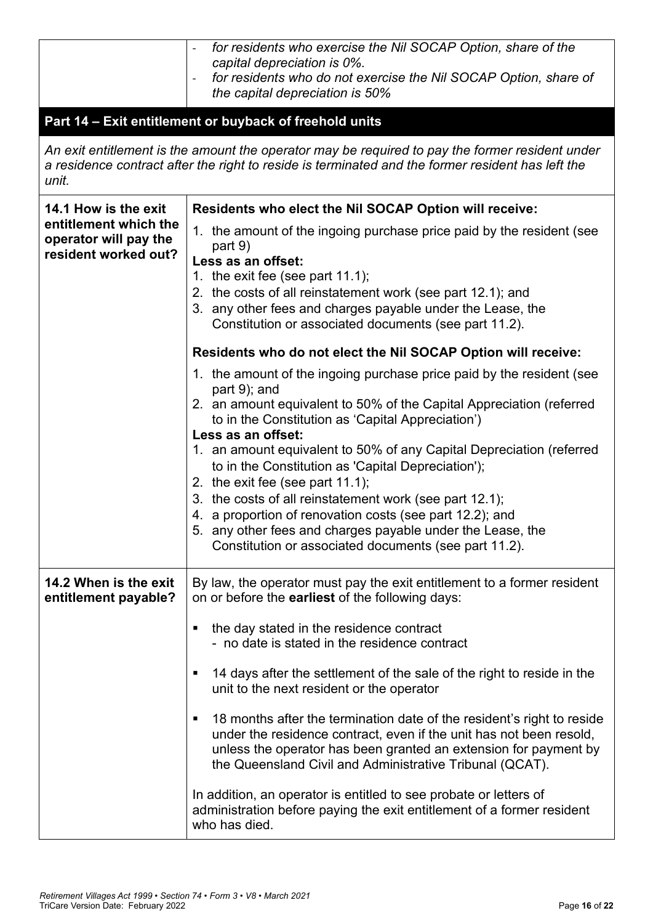|                                                | for residents who exercise the Nil SOCAP Option, share of the<br>capital depreciation is 0%.<br>for residents who do not exercise the Nil SOCAP Option, share of<br>$\qquad \qquad \blacksquare$<br>the capital depreciation is 50%                                                |  |  |  |
|------------------------------------------------|------------------------------------------------------------------------------------------------------------------------------------------------------------------------------------------------------------------------------------------------------------------------------------|--|--|--|
|                                                | Part 14 - Exit entitlement or buyback of freehold units                                                                                                                                                                                                                            |  |  |  |
| unit.                                          | An exit entitlement is the amount the operator may be required to pay the former resident under<br>a residence contract after the right to reside is terminated and the former resident has left the                                                                               |  |  |  |
| 14.1 How is the exit                           | Residents who elect the Nil SOCAP Option will receive:                                                                                                                                                                                                                             |  |  |  |
| entitlement which the<br>operator will pay the | 1. the amount of the ingoing purchase price paid by the resident (see                                                                                                                                                                                                              |  |  |  |
| resident worked out?                           | part 9)<br>Less as an offset:                                                                                                                                                                                                                                                      |  |  |  |
|                                                | 1. the exit fee (see part $11.1$ );                                                                                                                                                                                                                                                |  |  |  |
|                                                | 2. the costs of all reinstatement work (see part 12.1); and<br>3. any other fees and charges payable under the Lease, the<br>Constitution or associated documents (see part 11.2).                                                                                                 |  |  |  |
|                                                | Residents who do not elect the Nil SOCAP Option will receive:                                                                                                                                                                                                                      |  |  |  |
|                                                | 1. the amount of the ingoing purchase price paid by the resident (see                                                                                                                                                                                                              |  |  |  |
|                                                | part 9); and<br>2. an amount equivalent to 50% of the Capital Appreciation (referred                                                                                                                                                                                               |  |  |  |
|                                                | to in the Constitution as 'Capital Appreciation')<br>Less as an offset:                                                                                                                                                                                                            |  |  |  |
|                                                | 1. an amount equivalent to 50% of any Capital Depreciation (referred                                                                                                                                                                                                               |  |  |  |
|                                                | to in the Constitution as 'Capital Depreciation');<br>2. the exit fee (see part $11.1$ );                                                                                                                                                                                          |  |  |  |
|                                                | 3. the costs of all reinstatement work (see part 12.1);                                                                                                                                                                                                                            |  |  |  |
|                                                | 4. a proportion of renovation costs (see part 12.2); and                                                                                                                                                                                                                           |  |  |  |
|                                                | 5. any other fees and charges payable under the Lease, the<br>Constitution or associated documents (see part 11.2).                                                                                                                                                                |  |  |  |
|                                                |                                                                                                                                                                                                                                                                                    |  |  |  |
| 14.2 When is the exit<br>entitlement payable?  | By law, the operator must pay the exit entitlement to a former resident<br>on or before the <b>earliest</b> of the following days:                                                                                                                                                 |  |  |  |
|                                                | the day stated in the residence contract<br>п<br>- no date is stated in the residence contract                                                                                                                                                                                     |  |  |  |
|                                                | 14 days after the settlement of the sale of the right to reside in the<br>٠<br>unit to the next resident or the operator                                                                                                                                                           |  |  |  |
|                                                | 18 months after the termination date of the resident's right to reside<br>٠<br>under the residence contract, even if the unit has not been resold,<br>unless the operator has been granted an extension for payment by<br>the Queensland Civil and Administrative Tribunal (QCAT). |  |  |  |
|                                                | In addition, an operator is entitled to see probate or letters of<br>administration before paying the exit entitlement of a former resident<br>who has died.                                                                                                                       |  |  |  |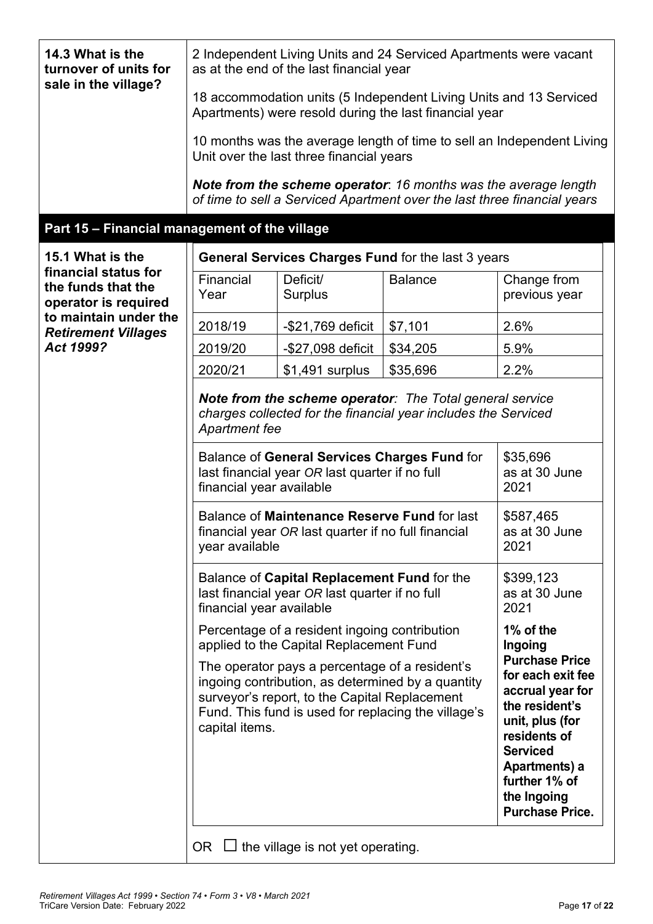| 14.3 What is the<br>turnover of units for<br>sale in the village?  | 2 Independent Living Units and 24 Serviced Apartments were vacant<br>as at the end of the last financial year                                                                                                                 |                                          |                                                                                                                                             |                                                                                                                                                                                                                   |
|--------------------------------------------------------------------|-------------------------------------------------------------------------------------------------------------------------------------------------------------------------------------------------------------------------------|------------------------------------------|---------------------------------------------------------------------------------------------------------------------------------------------|-------------------------------------------------------------------------------------------------------------------------------------------------------------------------------------------------------------------|
|                                                                    | 18 accommodation units (5 Independent Living Units and 13 Serviced<br>Apartments) were resold during the last financial year                                                                                                  |                                          |                                                                                                                                             |                                                                                                                                                                                                                   |
|                                                                    |                                                                                                                                                                                                                               | Unit over the last three financial years |                                                                                                                                             | 10 months was the average length of time to sell an Independent Living                                                                                                                                            |
|                                                                    |                                                                                                                                                                                                                               |                                          | Note from the scheme operator: 16 months was the average length<br>of time to sell a Serviced Apartment over the last three financial years |                                                                                                                                                                                                                   |
| Part 15 - Financial management of the village                      |                                                                                                                                                                                                                               |                                          |                                                                                                                                             |                                                                                                                                                                                                                   |
| 15.1 What is the                                                   |                                                                                                                                                                                                                               |                                          | General Services Charges Fund for the last 3 years                                                                                          |                                                                                                                                                                                                                   |
| financial status for<br>the funds that the<br>operator is required | Financial<br>Year                                                                                                                                                                                                             | Deficit/<br><b>Surplus</b>               | <b>Balance</b>                                                                                                                              | Change from<br>previous year                                                                                                                                                                                      |
| to maintain under the<br><b>Retirement Villages</b>                | 2018/19                                                                                                                                                                                                                       | $-$ \$21,769 deficit                     | \$7,101                                                                                                                                     | 2.6%                                                                                                                                                                                                              |
| Act 1999?                                                          | 2019/20                                                                                                                                                                                                                       | -\$27,098 deficit                        | \$34,205                                                                                                                                    | 5.9%                                                                                                                                                                                                              |
|                                                                    | 2020/21                                                                                                                                                                                                                       | $$1,491$ surplus                         | \$35,696                                                                                                                                    | 2.2%                                                                                                                                                                                                              |
|                                                                    | Note from the scheme operator: The Total general service<br>charges collected for the financial year includes the Serviced<br><b>Apartment fee</b>                                                                            |                                          |                                                                                                                                             |                                                                                                                                                                                                                   |
|                                                                    | Balance of General Services Charges Fund for<br>last financial year OR last quarter if no full<br>financial year available                                                                                                    |                                          |                                                                                                                                             | \$35,696<br>as at 30 June<br>2021                                                                                                                                                                                 |
|                                                                    | Balance of Maintenance Reserve Fund for last<br>\$587,465<br>financial year OR last quarter if no full financial<br>2021<br>year available                                                                                    |                                          |                                                                                                                                             | as at 30 June                                                                                                                                                                                                     |
|                                                                    | Balance of Capital Replacement Fund for the<br>last financial year OR last quarter if no full<br>financial year available                                                                                                     |                                          |                                                                                                                                             | \$399,123<br>as at 30 June<br>2021                                                                                                                                                                                |
|                                                                    | Percentage of a resident ingoing contribution<br>applied to the Capital Replacement Fund                                                                                                                                      | 1% of the<br>Ingoing                     |                                                                                                                                             |                                                                                                                                                                                                                   |
|                                                                    | The operator pays a percentage of a resident's<br>ingoing contribution, as determined by a quantity<br>surveyor's report, to the Capital Replacement<br>Fund. This fund is used for replacing the village's<br>capital items. |                                          |                                                                                                                                             | <b>Purchase Price</b><br>for each exit fee<br>accrual year for<br>the resident's<br>unit, plus (for<br>residents of<br><b>Serviced</b><br>Apartments) a<br>further 1% of<br>the Ingoing<br><b>Purchase Price.</b> |
|                                                                    | OR                                                                                                                                                                                                                            | the village is not yet operating.        |                                                                                                                                             |                                                                                                                                                                                                                   |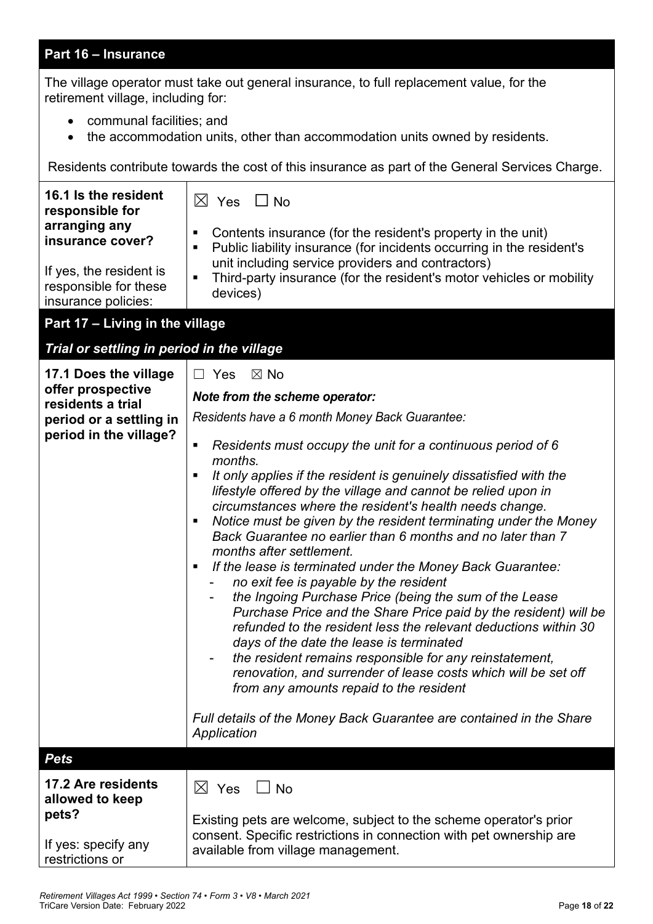# **Part 16 – Insurance**

The village operator must take out general insurance, to full replacement value, for the retirement village, including for:

- communal facilities; and
- the accommodation units, other than accommodation units owned by residents.

Residents contribute towards the cost of this insurance as part of the General Services Charge.

| 16.1 Is the resident<br>responsible for<br>arranging any<br>insurance cover?<br>If yes, the resident is<br>responsible for these<br>insurance policies: | $\boxtimes$ Yes<br>$\Box$ No<br>Contents insurance (for the resident's property in the unit)<br>п<br>Public liability insurance (for incidents occurring in the resident's<br>Е<br>unit including service providers and contractors)<br>Third-party insurance (for the resident's motor vehicles or mobility<br>$\blacksquare$<br>devices)                                                                                                                                                                                                                                                                                                                                                                                                                                                                                                                                                                                                                                                    |
|---------------------------------------------------------------------------------------------------------------------------------------------------------|-----------------------------------------------------------------------------------------------------------------------------------------------------------------------------------------------------------------------------------------------------------------------------------------------------------------------------------------------------------------------------------------------------------------------------------------------------------------------------------------------------------------------------------------------------------------------------------------------------------------------------------------------------------------------------------------------------------------------------------------------------------------------------------------------------------------------------------------------------------------------------------------------------------------------------------------------------------------------------------------------|
| Part 17 - Living in the village                                                                                                                         |                                                                                                                                                                                                                                                                                                                                                                                                                                                                                                                                                                                                                                                                                                                                                                                                                                                                                                                                                                                               |
| Trial or settling in period in the village                                                                                                              |                                                                                                                                                                                                                                                                                                                                                                                                                                                                                                                                                                                                                                                                                                                                                                                                                                                                                                                                                                                               |
| 17.1 Does the village                                                                                                                                   | $\Box$ Yes<br>$\boxtimes$ No                                                                                                                                                                                                                                                                                                                                                                                                                                                                                                                                                                                                                                                                                                                                                                                                                                                                                                                                                                  |
| offer prospective<br>residents a trial                                                                                                                  | Note from the scheme operator:                                                                                                                                                                                                                                                                                                                                                                                                                                                                                                                                                                                                                                                                                                                                                                                                                                                                                                                                                                |
| period or a settling in                                                                                                                                 | Residents have a 6 month Money Back Guarantee:                                                                                                                                                                                                                                                                                                                                                                                                                                                                                                                                                                                                                                                                                                                                                                                                                                                                                                                                                |
| period in the village?                                                                                                                                  | Residents must occupy the unit for a continuous period of 6<br>п<br>months.<br>It only applies if the resident is genuinely dissatisfied with the<br>п<br>lifestyle offered by the village and cannot be relied upon in<br>circumstances where the resident's health needs change.<br>Notice must be given by the resident terminating under the Money<br>п<br>Back Guarantee no earlier than 6 months and no later than 7<br>months after settlement.<br>If the lease is terminated under the Money Back Guarantee:<br>п<br>no exit fee is payable by the resident<br>the Ingoing Purchase Price (being the sum of the Lease<br>۰<br>Purchase Price and the Share Price paid by the resident) will be<br>refunded to the resident less the relevant deductions within 30<br>days of the date the lease is terminated<br>the resident remains responsible for any reinstatement,<br>renovation, and surrender of lease costs which will be set off<br>from any amounts repaid to the resident |
|                                                                                                                                                         | Full details of the Money Back Guarantee are contained in the Share<br>Application                                                                                                                                                                                                                                                                                                                                                                                                                                                                                                                                                                                                                                                                                                                                                                                                                                                                                                            |
| <b>Pets</b>                                                                                                                                             |                                                                                                                                                                                                                                                                                                                                                                                                                                                                                                                                                                                                                                                                                                                                                                                                                                                                                                                                                                                               |
| 17.2 Are residents<br>allowed to keep<br>pets?                                                                                                          | $\boxtimes$ Yes<br><b>No</b><br>Existing pets are welcome, subject to the scheme operator's prior<br>consent. Specific restrictions in connection with pet ownership are                                                                                                                                                                                                                                                                                                                                                                                                                                                                                                                                                                                                                                                                                                                                                                                                                      |
| If yes: specify any<br>restrictions or                                                                                                                  | available from village management.                                                                                                                                                                                                                                                                                                                                                                                                                                                                                                                                                                                                                                                                                                                                                                                                                                                                                                                                                            |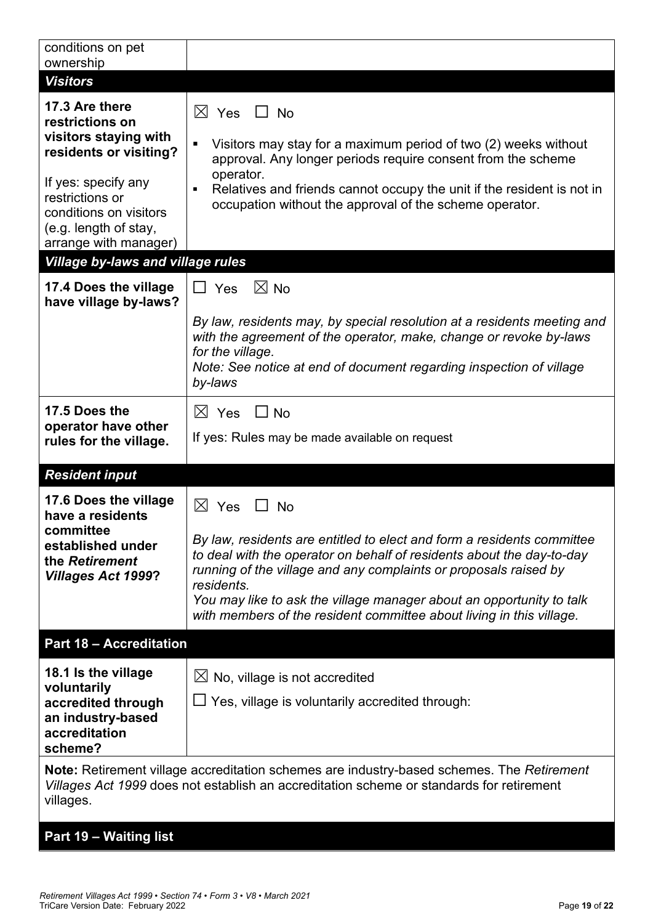| conditions on pet<br>ownership                                                                                                                                                                                                                         |                                                                                                                                                                                                                                                                                                                                                                                                               |  |
|--------------------------------------------------------------------------------------------------------------------------------------------------------------------------------------------------------------------------------------------------------|---------------------------------------------------------------------------------------------------------------------------------------------------------------------------------------------------------------------------------------------------------------------------------------------------------------------------------------------------------------------------------------------------------------|--|
| <b>Visitors</b>                                                                                                                                                                                                                                        |                                                                                                                                                                                                                                                                                                                                                                                                               |  |
| 17.3 Are there<br>restrictions on<br>visitors staying with<br>residents or visiting?<br>If yes: specify any<br>restrictions or<br>conditions on visitors<br>(e.g. length of stay,<br>arrange with manager)<br><b>Village by-laws and village rules</b> | $\boxtimes$ Yes $\Box$ No<br>Visitors may stay for a maximum period of two (2) weeks without<br>٠<br>approval. Any longer periods require consent from the scheme<br>operator.<br>Relatives and friends cannot occupy the unit if the resident is not in<br>٠<br>occupation without the approval of the scheme operator.                                                                                      |  |
| 17.4 Does the village<br>have village by-laws?                                                                                                                                                                                                         | $\boxtimes$ No<br>$\Box$ Yes<br>By law, residents may, by special resolution at a residents meeting and<br>with the agreement of the operator, make, change or revoke by-laws<br>for the village.<br>Note: See notice at end of document regarding inspection of village<br>by-laws                                                                                                                           |  |
| 17.5 Does the<br>operator have other<br>rules for the village.                                                                                                                                                                                         | $\boxtimes$ Yes<br>$\Box$ No<br>If yes: Rules may be made available on request                                                                                                                                                                                                                                                                                                                                |  |
| <b>Resident input</b>                                                                                                                                                                                                                                  |                                                                                                                                                                                                                                                                                                                                                                                                               |  |
| 17.6 Does the village<br>have a residents<br>committee<br>established under<br>the Retirement<br><b>Villages Act 1999?</b>                                                                                                                             | $\boxtimes$<br>Yes<br>No<br>By law, residents are entitled to elect and form a residents committee<br>to deal with the operator on behalf of residents about the day-to-day<br>running of the village and any complaints or proposals raised by<br>residents.<br>You may like to ask the village manager about an opportunity to talk<br>with members of the resident committee about living in this village. |  |
| <b>Part 18 - Accreditation</b>                                                                                                                                                                                                                         |                                                                                                                                                                                                                                                                                                                                                                                                               |  |
| 18.1 Is the village<br>voluntarily<br>accredited through<br>an industry-based<br>accreditation<br>scheme?                                                                                                                                              | $\boxtimes$ No, village is not accredited<br>$\Box$ Yes, village is voluntarily accredited through:<br>Note: Retirement village accreditation schemes are industry-based schemes. The Retirement                                                                                                                                                                                                              |  |
| Villages Act 1999 does not establish an accreditation scheme or standards for retirement<br>villages.                                                                                                                                                  |                                                                                                                                                                                                                                                                                                                                                                                                               |  |

**Part 19 – Waiting list**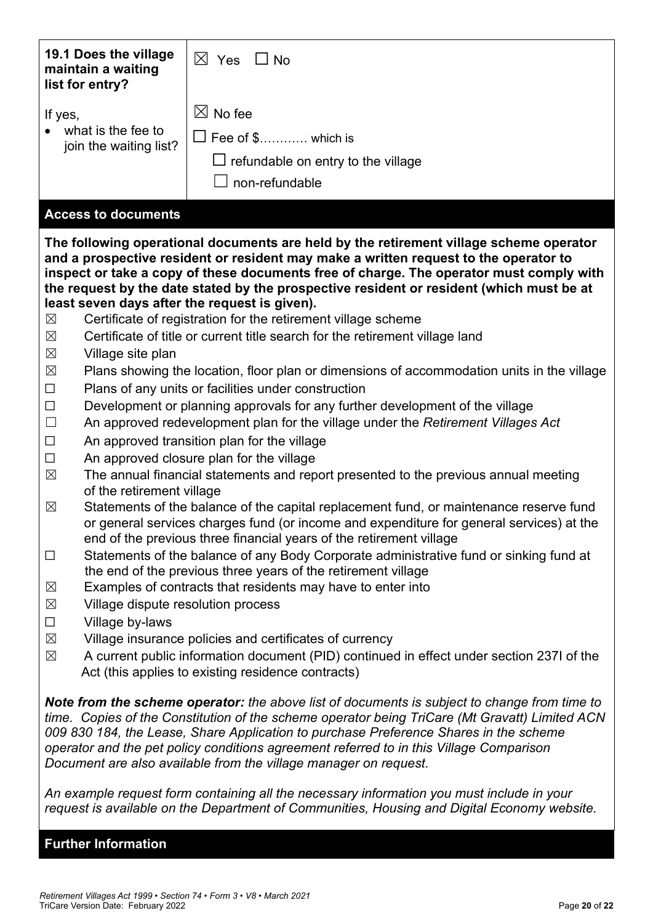| 19.1 Does the village<br>maintain a waiting<br>list for entry? | $\boxtimes$ Yes<br>$\Box$ No                                                                                                                                                                                                                                                                                                                                                                                                                           |  |  |
|----------------------------------------------------------------|--------------------------------------------------------------------------------------------------------------------------------------------------------------------------------------------------------------------------------------------------------------------------------------------------------------------------------------------------------------------------------------------------------------------------------------------------------|--|--|
| If yes,                                                        | $\boxtimes$ No fee                                                                                                                                                                                                                                                                                                                                                                                                                                     |  |  |
| what is the fee to                                             |                                                                                                                                                                                                                                                                                                                                                                                                                                                        |  |  |
| join the waiting list?                                         | $\Box$ Fee of \$ which is                                                                                                                                                                                                                                                                                                                                                                                                                              |  |  |
|                                                                | $\Box$ refundable on entry to the village                                                                                                                                                                                                                                                                                                                                                                                                              |  |  |
|                                                                | non-refundable                                                                                                                                                                                                                                                                                                                                                                                                                                         |  |  |
| <b>Access to documents</b>                                     |                                                                                                                                                                                                                                                                                                                                                                                                                                                        |  |  |
| least seven days after the request is given).<br>$\boxtimes$   | The following operational documents are held by the retirement village scheme operator<br>and a prospective resident or resident may make a written request to the operator to<br>inspect or take a copy of these documents free of charge. The operator must comply with<br>the request by the date stated by the prospective resident or resident (which must be at<br>Certificate of registration for the retirement village scheme                 |  |  |
| $\boxtimes$                                                    | Certificate of title or current title search for the retirement village land                                                                                                                                                                                                                                                                                                                                                                           |  |  |
| $\boxtimes$<br>Village site plan                               |                                                                                                                                                                                                                                                                                                                                                                                                                                                        |  |  |
| $\boxtimes$                                                    | Plans showing the location, floor plan or dimensions of accommodation units in the village                                                                                                                                                                                                                                                                                                                                                             |  |  |
| $\Box$                                                         | Plans of any units or facilities under construction                                                                                                                                                                                                                                                                                                                                                                                                    |  |  |
| $\Box$                                                         | Development or planning approvals for any further development of the village                                                                                                                                                                                                                                                                                                                                                                           |  |  |
| $\Box$                                                         | An approved redevelopment plan for the village under the Retirement Villages Act                                                                                                                                                                                                                                                                                                                                                                       |  |  |
| $\Box$                                                         | An approved transition plan for the village                                                                                                                                                                                                                                                                                                                                                                                                            |  |  |
| $\Box$                                                         | An approved closure plan for the village                                                                                                                                                                                                                                                                                                                                                                                                               |  |  |
| $\boxtimes$<br>of the retirement village                       | The annual financial statements and report presented to the previous annual meeting                                                                                                                                                                                                                                                                                                                                                                    |  |  |
| $\boxtimes$                                                    | Statements of the balance of the capital replacement fund, or maintenance reserve fund<br>or general services charges fund (or income and expenditure for general services) at the<br>end of the previous three financial years of the retirement village                                                                                                                                                                                              |  |  |
| $\Box$                                                         | Statements of the balance of any Body Corporate administrative fund or sinking fund at<br>the end of the previous three years of the retirement village                                                                                                                                                                                                                                                                                                |  |  |
| $\boxtimes$                                                    | Examples of contracts that residents may have to enter into                                                                                                                                                                                                                                                                                                                                                                                            |  |  |
| Village dispute resolution process<br>$\boxtimes$              |                                                                                                                                                                                                                                                                                                                                                                                                                                                        |  |  |
| $\Box$<br>Village by-laws                                      |                                                                                                                                                                                                                                                                                                                                                                                                                                                        |  |  |
| $\boxtimes$                                                    | Village insurance policies and certificates of currency                                                                                                                                                                                                                                                                                                                                                                                                |  |  |
| $\boxtimes$                                                    | A current public information document (PID) continued in effect under section 237I of the                                                                                                                                                                                                                                                                                                                                                              |  |  |
|                                                                | Act (this applies to existing residence contracts)                                                                                                                                                                                                                                                                                                                                                                                                     |  |  |
|                                                                | Note from the scheme operator: the above list of documents is subject to change from time to<br>time. Copies of the Constitution of the scheme operator being TriCare (Mt Gravatt) Limited ACN<br>009 830 184, the Lease, Share Application to purchase Preference Shares in the scheme<br>operator and the pet policy conditions agreement referred to in this Village Comparison<br>Document are also available from the village manager on request. |  |  |

*An example request form containing all the necessary information you must include in your request is available on the Department of Communities, Housing and Digital Economy website.*

# **Further Information**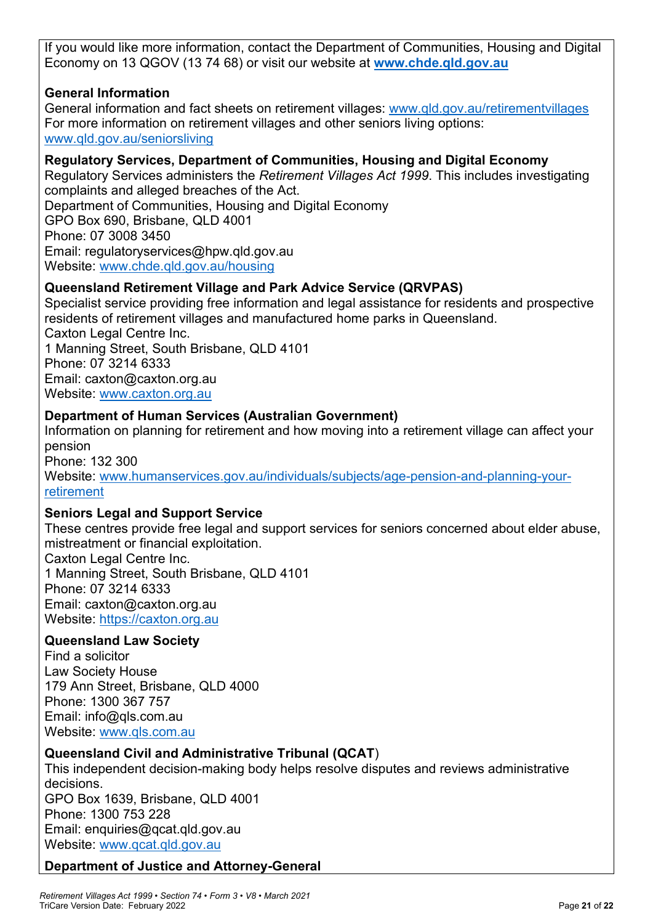If you would like more information, contact the Department of Communities, Housing and Digital Economy on 13 QGOV (13 74 68) or visit our website at **www.chde.qld.gov.au**

# **General Information**

General information and fact sheets on retirement villages: www.qld.gov.au/retirementvillages For more information on retirement villages and other seniors living options: www.qld.gov.au/seniorsliving

# **Regulatory Services, Department of Communities, Housing and Digital Economy**

Regulatory Services administers the *Retirement Villages Act 1999*. This includes investigating complaints and alleged breaches of the Act. Department of Communities, Housing and Digital Economy GPO Box 690, Brisbane, QLD 4001 Phone: 07 3008 3450 Email: regulatoryservices@hpw.qld.gov.au Website: www.chde.qld.gov.au/housing

# **Queensland Retirement Village and Park Advice Service (QRVPAS)**

Specialist service providing free information and legal assistance for residents and prospective residents of retirement villages and manufactured home parks in Queensland. Caxton Legal Centre Inc. 1 Manning Street, South Brisbane, QLD 4101 Phone: 07 3214 6333 Email: caxton@caxton.org.au Website: www.caxton.org.au

# **Department of Human Services (Australian Government)**

Information on planning for retirement and how moving into a retirement village can affect your pension Phone: 132 300 Website: www.humanservices.gov.au/individuals/subjects/age-pension-and-planning-yourretirement

# **Seniors Legal and Support Service**

These centres provide free legal and support services for seniors concerned about elder abuse, mistreatment or financial exploitation.

Caxton Legal Centre Inc. 1 Manning Street, South Brisbane, QLD 4101 Phone: 07 3214 6333 Email: caxton@caxton.org.au Website: https://caxton.org.au

# **Queensland Law Society**

Find a solicitor Law Society House 179 Ann Street, Brisbane, QLD 4000 Phone: 1300 367 757 Email: info@qls.com.au Website: www.qls.com.au

# **Queensland Civil and Administrative Tribunal (QCAT**)

This independent decision-making body helps resolve disputes and reviews administrative decisions. GPO Box 1639, Brisbane, QLD 4001 Phone: 1300 753 228 Email: enquiries@qcat.qld.gov.au Website: www.qcat.qld.gov.au

# **Department of Justice and Attorney-General**